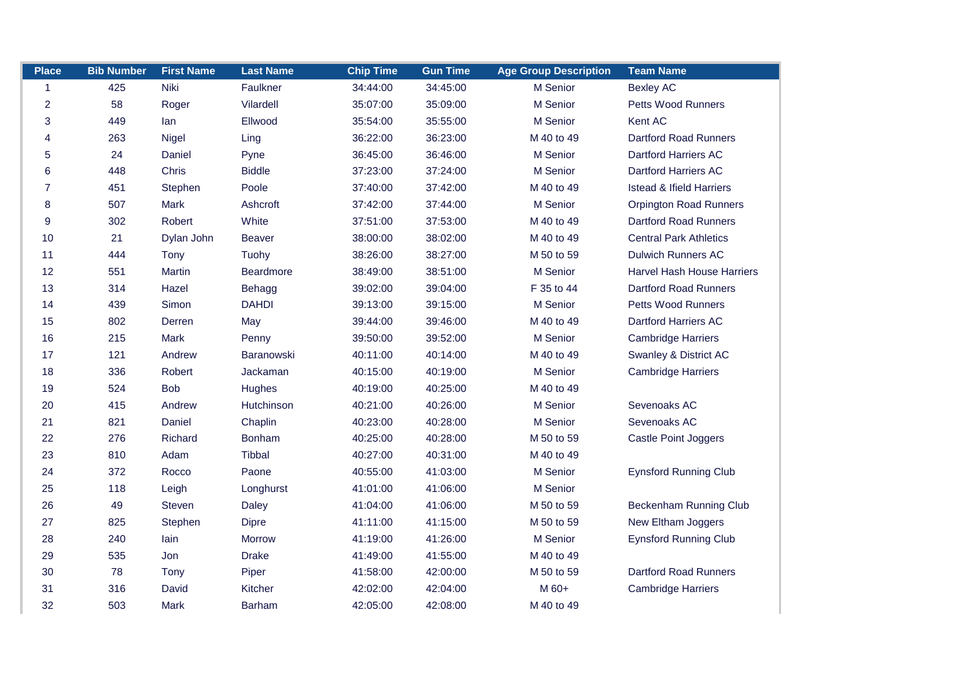| <b>Place</b>   | <b>Bib Number</b> | <b>First Name</b> | <b>Last Name</b> | <b>Chip Time</b> | <b>Gun Time</b> | <b>Age Group Description</b> | <b>Team Name</b>                    |
|----------------|-------------------|-------------------|------------------|------------------|-----------------|------------------------------|-------------------------------------|
| 1              | 425               | <b>Niki</b>       | Faulkner         | 34:44:00         | 34:45:00        | M Senior                     | <b>Bexley AC</b>                    |
| $\overline{c}$ | 58                | Roger             | Vilardell        | 35:07:00         | 35:09:00        | M Senior                     | Petts Wood Runners                  |
| 3              | 449               | lan               | Ellwood          | 35:54:00         | 35:55:00        | M Senior                     | Kent AC                             |
| 4              | 263               | Nigel             | Ling             | 36:22:00         | 36:23:00        | M 40 to 49                   | <b>Dartford Road Runners</b>        |
| 5              | 24                | Daniel            | Pyne             | 36:45:00         | 36:46:00        | M Senior                     | <b>Dartford Harriers AC</b>         |
| 6              | 448               | Chris             | <b>Biddle</b>    | 37:23:00         | 37:24:00        | M Senior                     | <b>Dartford Harriers AC</b>         |
| 7              | 451               | Stephen           | Poole            | 37:40:00         | 37:42:00        | M 40 to 49                   | <b>Istead &amp; Ifield Harriers</b> |
| 8              | 507               | Mark              | Ashcroft         | 37:42:00         | 37:44:00        | M Senior                     | <b>Orpington Road Runners</b>       |
| 9              | 302               | Robert            | White            | 37:51:00         | 37:53:00        | M 40 to 49                   | <b>Dartford Road Runners</b>        |
| 10             | 21                | Dylan John        | <b>Beaver</b>    | 38:00:00         | 38:02:00        | M 40 to 49                   | <b>Central Park Athletics</b>       |
| 11             | 444               | Tony              | Tuohy            | 38:26:00         | 38:27:00        | M 50 to 59                   | <b>Dulwich Runners AC</b>           |
| 12             | 551               | <b>Martin</b>     | Beardmore        | 38:49:00         | 38:51:00        | M Senior                     | <b>Harvel Hash House Harriers</b>   |
| 13             | 314               | Hazel             | <b>Behagg</b>    | 39:02:00         | 39:04:00        | F 35 to 44                   | <b>Dartford Road Runners</b>        |
| 14             | 439               | Simon             | <b>DAHDI</b>     | 39:13:00         | 39:15:00        | M Senior                     | <b>Petts Wood Runners</b>           |
| 15             | 802               | Derren            | May              | 39:44:00         | 39:46:00        | M 40 to 49                   | <b>Dartford Harriers AC</b>         |
| 16             | 215               | Mark              | Penny            | 39:50:00         | 39:52:00        | M Senior                     | <b>Cambridge Harriers</b>           |
| 17             | 121               | Andrew            | Baranowski       | 40:11:00         | 40:14:00        | M 40 to 49                   | Swanley & District AC               |
| 18             | 336               | Robert            | Jackaman         | 40:15:00         | 40:19:00        | M Senior                     | <b>Cambridge Harriers</b>           |
| 19             | 524               | <b>Bob</b>        | Hughes           | 40:19:00         | 40:25:00        | M 40 to 49                   |                                     |
| 20             | 415               | Andrew            | Hutchinson       | 40:21:00         | 40:26:00        | M Senior                     | Sevenoaks AC                        |
| 21             | 821               | Daniel            | Chaplin          | 40:23:00         | 40:28:00        | M Senior                     | Sevenoaks AC                        |
| 22             | 276               | Richard           | Bonham           | 40:25:00         | 40:28:00        | M 50 to 59                   | <b>Castle Point Joggers</b>         |
| 23             | 810               | Adam              | Tibbal           | 40:27:00         | 40:31:00        | M 40 to 49                   |                                     |
| 24             | 372               | Rocco             | Paone            | 40:55:00         | 41:03:00        | M Senior                     | <b>Eynsford Running Club</b>        |
| 25             | 118               | Leigh             | Longhurst        | 41:01:00         | 41:06:00        | M Senior                     |                                     |
| 26             | 49                | Steven            | Daley            | 41:04:00         | 41:06:00        | M 50 to 59                   | Beckenham Running Club              |
| 27             | 825               | Stephen           | <b>Dipre</b>     | 41:11:00         | 41:15:00        | M 50 to 59                   | New Eltham Joggers                  |
| 28             | 240               | lain              | <b>Morrow</b>    | 41:19:00         | 41:26:00        | M Senior                     | <b>Eynsford Running Club</b>        |
| 29             | 535               | Jon               | <b>Drake</b>     | 41:49:00         | 41:55:00        | M 40 to 49                   |                                     |
| 30             | 78                | Tony              | Piper            | 41:58:00         | 42:00:00        | M 50 to 59                   | <b>Dartford Road Runners</b>        |
| 31             | 316               | David             | Kitcher          | 42:02:00         | 42:04:00        | M 60+                        | <b>Cambridge Harriers</b>           |
| 32             | 503               | Mark              | <b>Barham</b>    | 42:05:00         | 42:08:00        | M 40 to 49                   |                                     |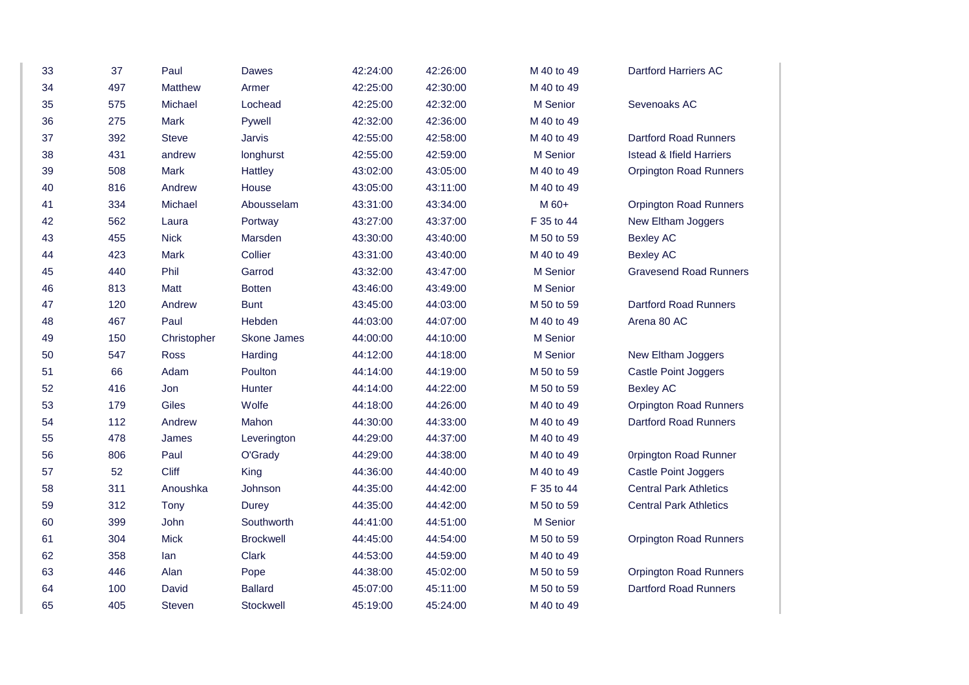| 33 | 37  | Paul           | Dawes              | 42:24:00 | 42:26:00 | M 40 to 49 | <b>Dartford Harriers AC</b>         |
|----|-----|----------------|--------------------|----------|----------|------------|-------------------------------------|
| 34 | 497 | <b>Matthew</b> | Armer              | 42:25:00 | 42:30:00 | M 40 to 49 |                                     |
| 35 | 575 | Michael        | Lochead            | 42:25:00 | 42:32:00 | M Senior   | Sevenoaks AC                        |
| 36 | 275 | Mark           | Pywell             | 42:32:00 | 42:36:00 | M 40 to 49 |                                     |
| 37 | 392 | <b>Steve</b>   | Jarvis             | 42:55:00 | 42:58:00 | M 40 to 49 | <b>Dartford Road Runners</b>        |
| 38 | 431 | andrew         | longhurst          | 42:55:00 | 42:59:00 | M Senior   | <b>Istead &amp; Ifield Harriers</b> |
| 39 | 508 | Mark           | Hattley            | 43:02:00 | 43:05:00 | M 40 to 49 | <b>Orpington Road Runners</b>       |
| 40 | 816 | Andrew         | House              | 43:05:00 | 43:11:00 | M 40 to 49 |                                     |
| 41 | 334 | Michael        | Abousselam         | 43:31:00 | 43:34:00 | M 60+      | <b>Orpington Road Runners</b>       |
| 42 | 562 | Laura          | Portway            | 43:27:00 | 43:37:00 | F 35 to 44 | New Eltham Joggers                  |
| 43 | 455 | <b>Nick</b>    | Marsden            | 43:30:00 | 43:40:00 | M 50 to 59 | <b>Bexley AC</b>                    |
| 44 | 423 | Mark           | Collier            | 43:31:00 | 43:40:00 | M 40 to 49 | <b>Bexley AC</b>                    |
| 45 | 440 | Phil           | Garrod             | 43:32:00 | 43:47:00 | M Senior   | <b>Gravesend Road Runners</b>       |
| 46 | 813 | Matt           | <b>Botten</b>      | 43:46:00 | 43:49:00 | M Senior   |                                     |
| 47 | 120 | Andrew         | <b>Bunt</b>        | 43:45:00 | 44:03:00 | M 50 to 59 | <b>Dartford Road Runners</b>        |
| 48 | 467 | Paul           | Hebden             | 44:03:00 | 44:07:00 | M 40 to 49 | Arena 80 AC                         |
| 49 | 150 | Christopher    | <b>Skone James</b> | 44:00:00 | 44:10:00 | M Senior   |                                     |
| 50 | 547 | <b>Ross</b>    | Harding            | 44:12:00 | 44:18:00 | M Senior   | New Eltham Joggers                  |
| 51 | 66  | Adam           | Poulton            | 44:14:00 | 44:19:00 | M 50 to 59 | <b>Castle Point Joggers</b>         |
| 52 | 416 | Jon            | Hunter             | 44:14:00 | 44:22:00 | M 50 to 59 | <b>Bexley AC</b>                    |
| 53 | 179 | <b>Giles</b>   | Wolfe              | 44:18:00 | 44:26:00 | M 40 to 49 | <b>Orpington Road Runners</b>       |
| 54 | 112 | Andrew         | Mahon              | 44:30:00 | 44:33:00 | M 40 to 49 | <b>Dartford Road Runners</b>        |
| 55 | 478 | James          | Leverington        | 44:29:00 | 44:37:00 | M 40 to 49 |                                     |
| 56 | 806 | Paul           | O'Grady            | 44:29:00 | 44:38:00 | M 40 to 49 | <b>Orpington Road Runner</b>        |
| 57 | 52  | <b>Cliff</b>   | King               | 44:36:00 | 44:40:00 | M 40 to 49 | Castle Point Joggers                |
| 58 | 311 | Anoushka       | Johnson            | 44:35:00 | 44:42:00 | F 35 to 44 | <b>Central Park Athletics</b>       |
| 59 | 312 | Tony           | Durey              | 44:35:00 | 44:42:00 | M 50 to 59 | <b>Central Park Athletics</b>       |
| 60 | 399 | John           | Southworth         | 44:41:00 | 44:51:00 | M Senior   |                                     |
| 61 | 304 | <b>Mick</b>    | <b>Brockwell</b>   | 44:45:00 | 44:54:00 | M 50 to 59 | <b>Orpington Road Runners</b>       |
| 62 | 358 | lan            | Clark              | 44:53:00 | 44:59:00 | M 40 to 49 |                                     |
| 63 | 446 | Alan           | Pope               | 44:38:00 | 45:02:00 | M 50 to 59 | <b>Orpington Road Runners</b>       |
| 64 | 100 | David          | <b>Ballard</b>     | 45:07:00 | 45:11:00 | M 50 to 59 | Dartford Road Runners               |
| 65 | 405 | <b>Steven</b>  | Stockwell          | 45:19:00 | 45:24:00 | M 40 to 49 |                                     |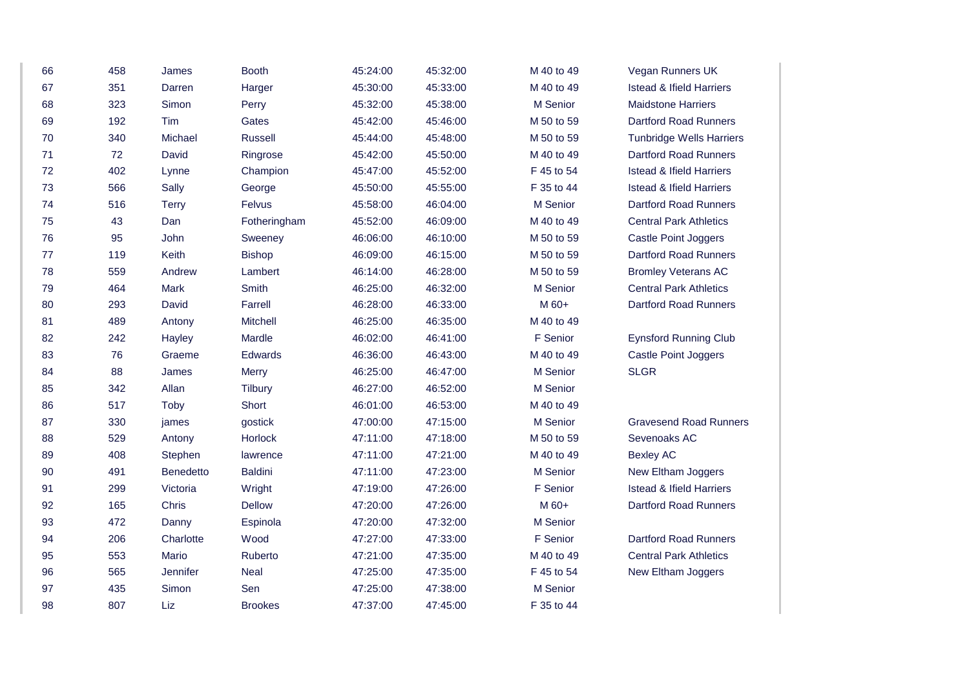| 66 | 458 | James        | <b>Booth</b>   | 45:24:00 | 45:32:00 | M 40 to 49 | Vegan Runners UK                    |
|----|-----|--------------|----------------|----------|----------|------------|-------------------------------------|
| 67 | 351 | Darren       | Harger         | 45:30:00 | 45:33:00 | M 40 to 49 | <b>Istead &amp; Ifield Harriers</b> |
| 68 | 323 | Simon        | Perry          | 45:32:00 | 45:38:00 | M Senior   | <b>Maidstone Harriers</b>           |
| 69 | 192 | Tim          | Gates          | 45:42:00 | 45:46:00 | M 50 to 59 | <b>Dartford Road Runners</b>        |
| 70 | 340 | Michael      | <b>Russell</b> | 45:44:00 | 45:48:00 | M 50 to 59 | <b>Tunbridge Wells Harriers</b>     |
| 71 | 72  | David        | Ringrose       | 45:42:00 | 45:50:00 | M 40 to 49 | <b>Dartford Road Runners</b>        |
| 72 | 402 | Lynne        | Champion       | 45:47:00 | 45:52:00 | F 45 to 54 | <b>Istead &amp; Ifield Harriers</b> |
| 73 | 566 | Sally        | George         | 45:50:00 | 45:55:00 | F 35 to 44 | <b>Istead &amp; Ifield Harriers</b> |
| 74 | 516 | <b>Terry</b> | Felvus         | 45:58:00 | 46:04:00 | M Senior   | <b>Dartford Road Runners</b>        |
| 75 | 43  | Dan          | Fotheringham   | 45:52:00 | 46:09:00 | M 40 to 49 | <b>Central Park Athletics</b>       |
| 76 | 95  | John         | Sweeney        | 46:06:00 | 46:10:00 | M 50 to 59 | <b>Castle Point Joggers</b>         |
| 77 | 119 | Keith        | <b>Bishop</b>  | 46:09:00 | 46:15:00 | M 50 to 59 | <b>Dartford Road Runners</b>        |
| 78 | 559 | Andrew       | Lambert        | 46:14:00 | 46:28:00 | M 50 to 59 | <b>Bromley Veterans AC</b>          |
| 79 | 464 | Mark         | Smith          | 46:25:00 | 46:32:00 | M Senior   | <b>Central Park Athletics</b>       |
| 80 | 293 | David        | Farrell        | 46:28:00 | 46:33:00 | M 60+      | <b>Dartford Road Runners</b>        |
| 81 | 489 | Antony       | Mitchell       | 46:25:00 | 46:35:00 | M 40 to 49 |                                     |
| 82 | 242 | Hayley       | Mardle         | 46:02:00 | 46:41:00 | F Senior   | <b>Eynsford Running Club</b>        |
| 83 | 76  | Graeme       | <b>Edwards</b> | 46:36:00 | 46:43:00 | M 40 to 49 | <b>Castle Point Joggers</b>         |
| 84 | 88  | James        | <b>Merry</b>   | 46:25:00 | 46:47:00 | M Senior   | <b>SLGR</b>                         |
| 85 | 342 | Allan        | <b>Tilbury</b> | 46:27:00 | 46:52:00 | M Senior   |                                     |
| 86 | 517 | Toby         | Short          | 46:01:00 | 46:53:00 | M 40 to 49 |                                     |
| 87 | 330 | james        | gostick        | 47:00:00 | 47:15:00 | M Senior   | <b>Gravesend Road Runners</b>       |
| 88 | 529 | Antony       | Horlock        | 47:11:00 | 47:18:00 | M 50 to 59 | Sevenoaks AC                        |
| 89 | 408 | Stephen      | lawrence       | 47:11:00 | 47:21:00 | M 40 to 49 | <b>Bexley AC</b>                    |
| 90 | 491 | Benedetto    | <b>Baldini</b> | 47:11:00 | 47:23:00 | M Senior   | New Eltham Joggers                  |
| 91 | 299 | Victoria     | Wright         | 47:19:00 | 47:26:00 | F Senior   | <b>Istead &amp; Ifield Harriers</b> |
| 92 | 165 | Chris        | Dellow         | 47:20:00 | 47:26:00 | M 60+      | <b>Dartford Road Runners</b>        |
| 93 | 472 | Danny        | Espinola       | 47:20:00 | 47:32:00 | M Senior   |                                     |
| 94 | 206 | Charlotte    | Wood           | 47:27:00 | 47:33:00 | F Senior   | Dartford Road Runners               |
| 95 | 553 | Mario        | Ruberto        | 47:21:00 | 47:35:00 | M 40 to 49 | <b>Central Park Athletics</b>       |
| 96 | 565 | Jennifer     | <b>Neal</b>    | 47:25:00 | 47:35:00 | F 45 to 54 | New Eltham Joggers                  |
| 97 | 435 | Simon        | Sen            | 47:25:00 | 47:38:00 | M Senior   |                                     |
| 98 | 807 | Liz          | <b>Brookes</b> | 47:37:00 | 47:45:00 | F 35 to 44 |                                     |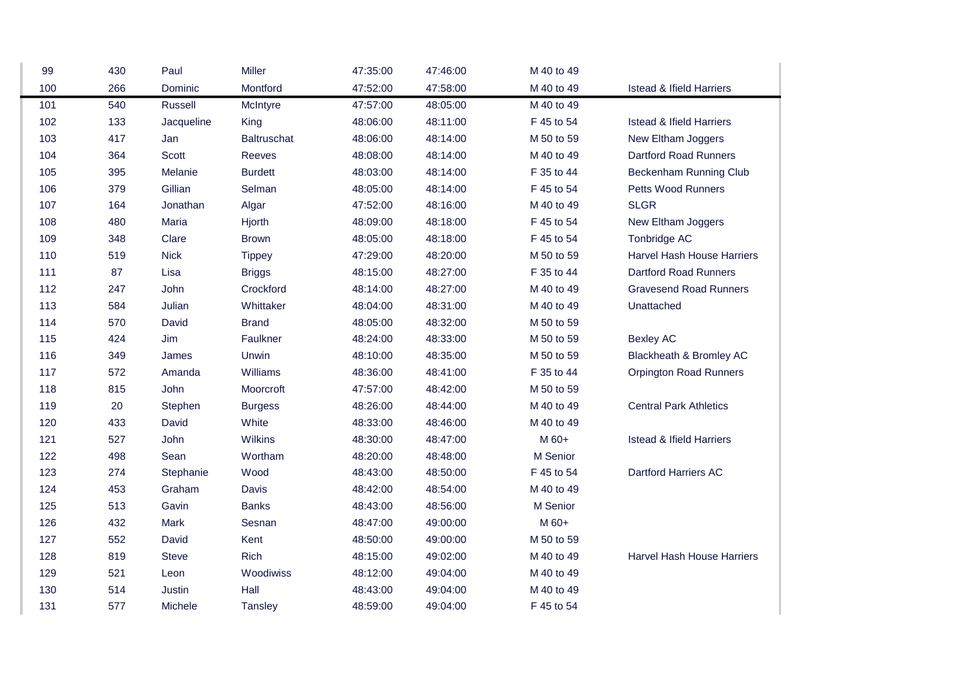| 99  | 430 | Paul         | Miller             | 47:35:00 | 47:46:00 | M 40 to 49 |                                     |
|-----|-----|--------------|--------------------|----------|----------|------------|-------------------------------------|
| 100 | 266 | Dominic      | Montford           | 47:52:00 | 47:58:00 | M 40 to 49 | <b>Istead &amp; Ifield Harriers</b> |
| 101 | 540 | Russell      | McIntyre           | 47:57:00 | 48:05:00 | M 40 to 49 |                                     |
| 102 | 133 | Jacqueline   | King               | 48:06:00 | 48:11:00 | F 45 to 54 | <b>Istead &amp; Ifield Harriers</b> |
| 103 | 417 | Jan          | <b>Baltruschat</b> | 48:06:00 | 48:14:00 | M 50 to 59 | New Eltham Joggers                  |
| 104 | 364 | <b>Scott</b> | Reeves             | 48:08:00 | 48:14:00 | M 40 to 49 | <b>Dartford Road Runners</b>        |
| 105 | 395 | Melanie      | <b>Burdett</b>     | 48:03:00 | 48:14:00 | F 35 to 44 | Beckenham Running Club              |
| 106 | 379 | Gillian      | Selman             | 48:05:00 | 48:14:00 | F 45 to 54 | Petts Wood Runners                  |
| 107 | 164 | Jonathan     | Algar              | 47:52:00 | 48:16:00 | M 40 to 49 | <b>SLGR</b>                         |
| 108 | 480 | Maria        | Hjorth             | 48:09:00 | 48:18:00 | F 45 to 54 | New Eltham Joggers                  |
| 109 | 348 | Clare        | <b>Brown</b>       | 48:05:00 | 48:18:00 | F 45 to 54 | Tonbridge AC                        |
| 110 | 519 | <b>Nick</b>  | <b>Tippey</b>      | 47:29:00 | 48:20:00 | M 50 to 59 | <b>Harvel Hash House Harriers</b>   |
| 111 | 87  | Lisa         | <b>Briggs</b>      | 48:15:00 | 48:27:00 | F 35 to 44 | <b>Dartford Road Runners</b>        |
| 112 | 247 | John         | Crockford          | 48:14:00 | 48:27:00 | M 40 to 49 | <b>Gravesend Road Runners</b>       |
| 113 | 584 | Julian       | Whittaker          | 48:04:00 | 48:31:00 | M 40 to 49 | Unattached                          |
| 114 | 570 | David        | <b>Brand</b>       | 48:05:00 | 48:32:00 | M 50 to 59 |                                     |
| 115 | 424 | Jim          | Faulkner           | 48:24:00 | 48:33:00 | M 50 to 59 | <b>Bexley AC</b>                    |
| 116 | 349 | James        | Unwin              | 48:10:00 | 48:35:00 | M 50 to 59 | Blackheath & Bromley AC             |
| 117 | 572 | Amanda       | Williams           | 48:36:00 | 48:41:00 | F 35 to 44 | <b>Orpington Road Runners</b>       |
| 118 | 815 | John         | Moorcroft          | 47:57:00 | 48:42:00 | M 50 to 59 |                                     |
| 119 | 20  | Stephen      | <b>Burgess</b>     | 48:26:00 | 48:44:00 | M 40 to 49 | <b>Central Park Athletics</b>       |
| 120 | 433 | David        | White              | 48:33:00 | 48:46:00 | M 40 to 49 |                                     |
| 121 | 527 | John         | Wilkins            | 48:30:00 | 48:47:00 | M 60+      | <b>Istead &amp; Ifield Harriers</b> |
| 122 | 498 | Sean         | Wortham            | 48:20:00 | 48:48:00 | M Senior   |                                     |
| 123 | 274 | Stephanie    | Wood               | 48:43:00 | 48:50:00 | F 45 to 54 | <b>Dartford Harriers AC</b>         |
| 124 | 453 | Graham       | Davis              | 48:42:00 | 48:54:00 | M 40 to 49 |                                     |
| 125 | 513 | Gavin        | <b>Banks</b>       | 48:43:00 | 48:56:00 | M Senior   |                                     |
| 126 | 432 | Mark         | Sesnan             | 48:47:00 | 49:00:00 | M 60+      |                                     |
| 127 | 552 | David        | Kent               | 48:50:00 | 49:00:00 | M 50 to 59 |                                     |
| 128 | 819 | <b>Steve</b> | <b>Rich</b>        | 48:15:00 | 49:02:00 | M 40 to 49 | <b>Harvel Hash House Harriers</b>   |
| 129 | 521 | Leon         | Woodiwiss          | 48:12:00 | 49:04:00 | M 40 to 49 |                                     |
| 130 | 514 | Justin       | Hall               | 48:43:00 | 49:04:00 | M 40 to 49 |                                     |
| 131 | 577 | Michele      | Tansley            | 48:59:00 | 49:04:00 | F 45 to 54 |                                     |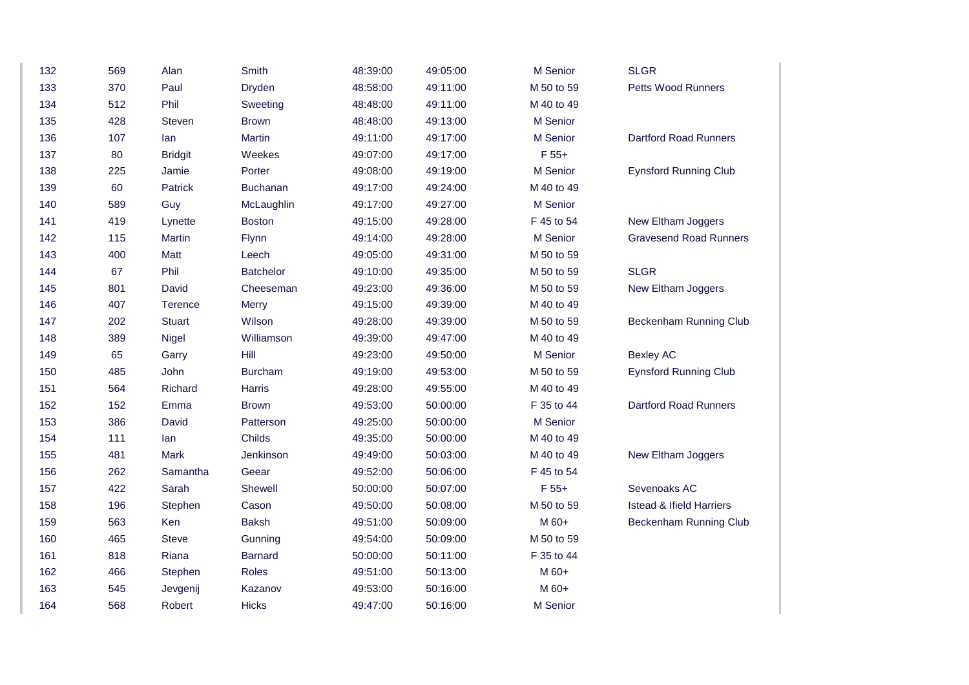| 132 | 569 | Alan           | Smith            | 48:39:00 | 49:05:00 | M Senior   | <b>SLGR</b>                         |
|-----|-----|----------------|------------------|----------|----------|------------|-------------------------------------|
| 133 | 370 | Paul           | <b>Dryden</b>    | 48:58:00 | 49:11:00 | M 50 to 59 | Petts Wood Runners                  |
| 134 | 512 | Phil           | Sweeting         | 48:48:00 | 49:11:00 | M 40 to 49 |                                     |
| 135 | 428 | Steven         | <b>Brown</b>     | 48:48:00 | 49:13:00 | M Senior   |                                     |
| 136 | 107 | lan            | Martin           | 49:11:00 | 49:17:00 | M Senior   | <b>Dartford Road Runners</b>        |
| 137 | 80  | <b>Bridgit</b> | Weekes           | 49:07:00 | 49:17:00 | $F 55+$    |                                     |
| 138 | 225 | Jamie          | Porter           | 49:08:00 | 49:19:00 | M Senior   | <b>Eynsford Running Club</b>        |
| 139 | 60  | Patrick        | <b>Buchanan</b>  | 49:17:00 | 49:24:00 | M 40 to 49 |                                     |
| 140 | 589 | Guy            | McLaughlin       | 49:17:00 | 49:27:00 | M Senior   |                                     |
| 141 | 419 | Lynette        | <b>Boston</b>    | 49:15:00 | 49:28:00 | F 45 to 54 | New Eltham Joggers                  |
| 142 | 115 | Martin         | Flynn            | 49:14:00 | 49:28:00 | M Senior   | <b>Gravesend Road Runners</b>       |
| 143 | 400 | Matt           | Leech            | 49:05:00 | 49:31:00 | M 50 to 59 |                                     |
| 144 | 67  | Phil           | <b>Batchelor</b> | 49:10:00 | 49:35:00 | M 50 to 59 | <b>SLGR</b>                         |
| 145 | 801 | David          | Cheeseman        | 49:23:00 | 49:36:00 | M 50 to 59 | New Eltham Joggers                  |
| 146 | 407 | Terence        | Merry            | 49:15:00 | 49:39:00 | M 40 to 49 |                                     |
| 147 | 202 | <b>Stuart</b>  | Wilson           | 49:28:00 | 49:39:00 | M 50 to 59 | Beckenham Running Club              |
| 148 | 389 | Nigel          | Williamson       | 49:39:00 | 49:47:00 | M 40 to 49 |                                     |
| 149 | 65  | Garry          | Hill             | 49:23:00 | 49:50:00 | M Senior   | <b>Bexley AC</b>                    |
| 150 | 485 | John           | <b>Burcham</b>   | 49:19:00 | 49:53:00 | M 50 to 59 | <b>Eynsford Running Club</b>        |
| 151 | 564 | Richard        | Harris           | 49:28:00 | 49:55:00 | M 40 to 49 |                                     |
| 152 | 152 | Emma           | <b>Brown</b>     | 49:53:00 | 50:00:00 | F 35 to 44 | <b>Dartford Road Runners</b>        |
| 153 | 386 | David          | Patterson        | 49:25:00 | 50:00:00 | M Senior   |                                     |
| 154 | 111 | lan            | Childs           | 49:35:00 | 50:00:00 | M 40 to 49 |                                     |
| 155 | 481 | Mark           | Jenkinson        | 49:49:00 | 50:03:00 | M 40 to 49 | New Eltham Joggers                  |
| 156 | 262 | Samantha       | Geear            | 49:52:00 | 50:06:00 | F 45 to 54 |                                     |
| 157 | 422 | Sarah          | Shewell          | 50:00:00 | 50:07:00 | $F 55+$    | Sevenoaks AC                        |
| 158 | 196 | Stephen        | Cason            | 49:50:00 | 50:08:00 | M 50 to 59 | <b>Istead &amp; Ifield Harriers</b> |
| 159 | 563 | Ken            | <b>Baksh</b>     | 49:51:00 | 50:09:00 | M 60+      | Beckenham Running Club              |
| 160 | 465 | <b>Steve</b>   | Gunning          | 49:54:00 | 50:09:00 | M 50 to 59 |                                     |
| 161 | 818 | Riana          | <b>Barnard</b>   | 50:00:00 | 50:11:00 | F 35 to 44 |                                     |
| 162 | 466 | Stephen        | Roles            | 49:51:00 | 50:13:00 | M 60+      |                                     |
| 163 | 545 | Jevgenij       | Kazanov          | 49:53:00 | 50:16:00 | M 60+      |                                     |
| 164 | 568 | Robert         | <b>Hicks</b>     | 49:47:00 | 50:16:00 | M Senior   |                                     |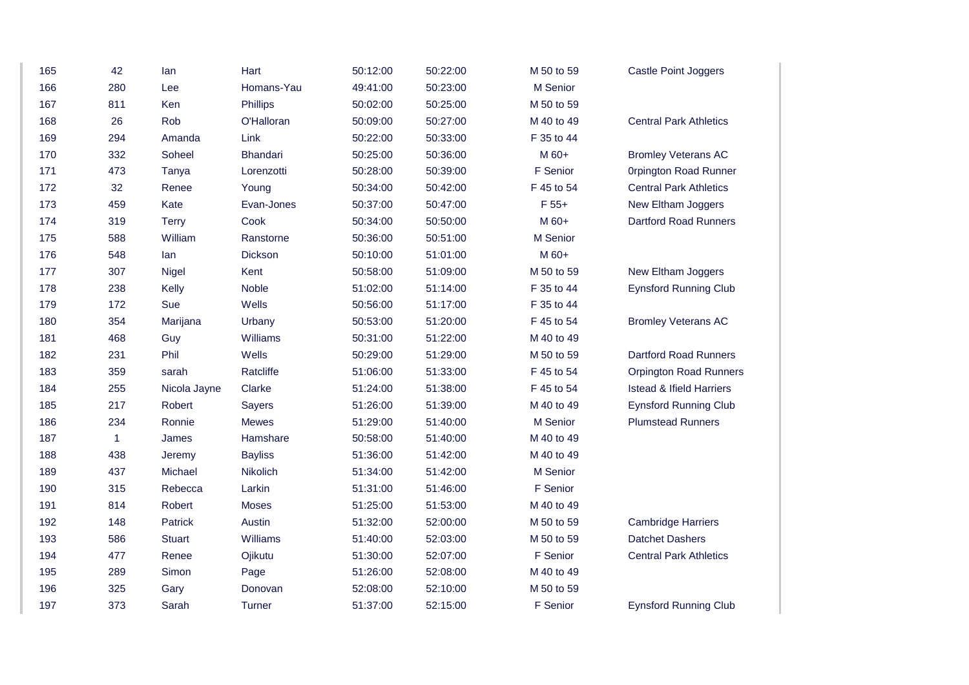| 165 | 42           | lan           | Hart           | 50:12:00 | 50:22:00 | M 50 to 59 | <b>Castle Point Joggers</b>         |
|-----|--------------|---------------|----------------|----------|----------|------------|-------------------------------------|
| 166 | 280          | Lee           | Homans-Yau     | 49:41:00 | 50:23:00 | M Senior   |                                     |
| 167 | 811          | Ken           | Phillips       | 50:02:00 | 50:25:00 | M 50 to 59 |                                     |
| 168 | 26           | Rob           | O'Halloran     | 50:09:00 | 50:27:00 | M 40 to 49 | <b>Central Park Athletics</b>       |
| 169 | 294          | Amanda        | Link           | 50:22:00 | 50:33:00 | F 35 to 44 |                                     |
| 170 | 332          | Soheel        | Bhandari       | 50:25:00 | 50:36:00 | M 60+      | <b>Bromley Veterans AC</b>          |
| 171 | 473          | Tanya         | Lorenzotti     | 50:28:00 | 50:39:00 | F Senior   | Orpington Road Runner               |
| 172 | 32           | Renee         | Young          | 50:34:00 | 50:42:00 | F 45 to 54 | <b>Central Park Athletics</b>       |
| 173 | 459          | Kate          | Evan-Jones     | 50:37:00 | 50:47:00 | $F 55+$    | New Eltham Joggers                  |
| 174 | 319          | <b>Terry</b>  | Cook           | 50:34:00 | 50:50:00 | M 60+      | <b>Dartford Road Runners</b>        |
| 175 | 588          | William       | Ranstorne      | 50:36:00 | 50:51:00 | M Senior   |                                     |
| 176 | 548          | lan           | Dickson        | 50:10:00 | 51:01:00 | M 60+      |                                     |
| 177 | 307          | Nigel         | Kent           | 50:58:00 | 51:09:00 | M 50 to 59 | New Eltham Joggers                  |
| 178 | 238          | Kelly         | Noble          | 51:02:00 | 51:14:00 | F 35 to 44 | <b>Eynsford Running Club</b>        |
| 179 | 172          | Sue           | Wells          | 50:56:00 | 51:17:00 | F 35 to 44 |                                     |
| 180 | 354          | Marijana      | Urbany         | 50:53:00 | 51:20:00 | F 45 to 54 | <b>Bromley Veterans AC</b>          |
| 181 | 468          | Guy           | Williams       | 50:31:00 | 51:22:00 | M 40 to 49 |                                     |
| 182 | 231          | Phil          | Wells          | 50:29:00 | 51:29:00 | M 50 to 59 | <b>Dartford Road Runners</b>        |
| 183 | 359          | sarah         | Ratcliffe      | 51:06:00 | 51:33:00 | F 45 to 54 | <b>Orpington Road Runners</b>       |
| 184 | 255          | Nicola Jayne  | Clarke         | 51:24:00 | 51:38:00 | F 45 to 54 | <b>Istead &amp; Ifield Harriers</b> |
| 185 | 217          | Robert        | Sayers         | 51:26:00 | 51:39:00 | M 40 to 49 | <b>Eynsford Running Club</b>        |
| 186 | 234          | Ronnie        | <b>Mewes</b>   | 51:29:00 | 51:40:00 | M Senior   | <b>Plumstead Runners</b>            |
| 187 | $\mathbf{1}$ | James         | Hamshare       | 50:58:00 | 51:40:00 | M 40 to 49 |                                     |
| 188 | 438          | Jeremy        | <b>Bayliss</b> | 51:36:00 | 51:42:00 | M 40 to 49 |                                     |
| 189 | 437          | Michael       | Nikolich       | 51:34:00 | 51:42:00 | M Senior   |                                     |
| 190 | 315          | Rebecca       | Larkin         | 51:31:00 | 51:46:00 | F Senior   |                                     |
| 191 | 814          | Robert        | Moses          | 51:25:00 | 51:53:00 | M 40 to 49 |                                     |
| 192 | 148          | Patrick       | Austin         | 51:32:00 | 52:00:00 | M 50 to 59 | <b>Cambridge Harriers</b>           |
| 193 | 586          | <b>Stuart</b> | Williams       | 51:40:00 | 52:03:00 | M 50 to 59 | <b>Datchet Dashers</b>              |
| 194 | 477          | Renee         | Ojikutu        | 51:30:00 | 52:07:00 | F Senior   | <b>Central Park Athletics</b>       |
| 195 | 289          | Simon         | Page           | 51:26:00 | 52:08:00 | M 40 to 49 |                                     |
| 196 | 325          | Gary          | Donovan        | 52:08:00 | 52:10:00 | M 50 to 59 |                                     |
| 197 | 373          | Sarah         | Turner         | 51:37:00 | 52:15:00 | F Senior   | <b>Eynsford Running Club</b>        |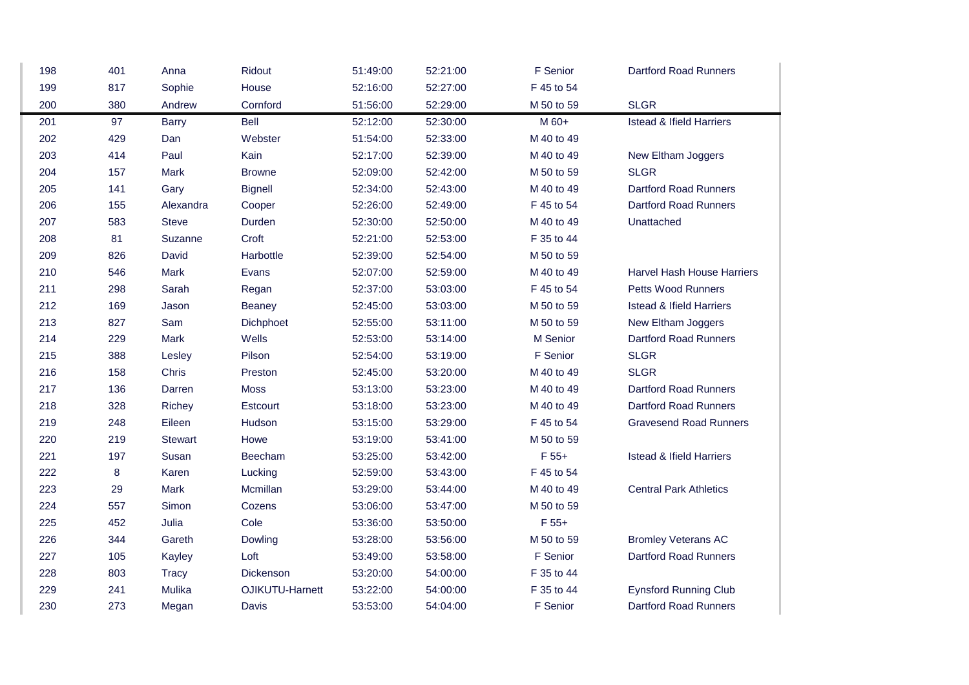| 198 | 401 | Anna           | Ridout          | 51:49:00 | 52:21:00 | F Senior   | <b>Dartford Road Runners</b>        |
|-----|-----|----------------|-----------------|----------|----------|------------|-------------------------------------|
| 199 | 817 | Sophie         | House           | 52:16:00 | 52:27:00 | F 45 to 54 |                                     |
| 200 | 380 | Andrew         | Cornford        | 51:56:00 | 52:29:00 | M 50 to 59 | <b>SLGR</b>                         |
| 201 | 97  | <b>Barry</b>   | Bell            | 52:12:00 | 52:30:00 | M 60+      | <b>Istead &amp; Ifield Harriers</b> |
| 202 | 429 | Dan            | Webster         | 51:54:00 | 52:33:00 | M 40 to 49 |                                     |
| 203 | 414 | Paul           | Kain            | 52:17:00 | 52:39:00 | M 40 to 49 | New Eltham Joggers                  |
| 204 | 157 | Mark           | <b>Browne</b>   | 52:09:00 | 52:42:00 | M 50 to 59 | <b>SLGR</b>                         |
| 205 | 141 | Gary           | <b>Bignell</b>  | 52:34:00 | 52:43:00 | M 40 to 49 | <b>Dartford Road Runners</b>        |
| 206 | 155 | Alexandra      | Cooper          | 52:26:00 | 52:49:00 | F 45 to 54 | <b>Dartford Road Runners</b>        |
| 207 | 583 | <b>Steve</b>   | Durden          | 52:30:00 | 52:50:00 | M 40 to 49 | Unattached                          |
| 208 | 81  | Suzanne        | Croft           | 52:21:00 | 52:53:00 | F 35 to 44 |                                     |
| 209 | 826 | David          | Harbottle       | 52:39:00 | 52:54:00 | M 50 to 59 |                                     |
| 210 | 546 | Mark           | Evans           | 52:07:00 | 52:59:00 | M 40 to 49 | <b>Harvel Hash House Harriers</b>   |
| 211 | 298 | Sarah          | Regan           | 52:37:00 | 53:03:00 | F 45 to 54 | <b>Petts Wood Runners</b>           |
| 212 | 169 | Jason          | <b>Beaney</b>   | 52:45:00 | 53:03:00 | M 50 to 59 | <b>Istead &amp; Ifield Harriers</b> |
| 213 | 827 | Sam            | Dichphoet       | 52:55:00 | 53:11:00 | M 50 to 59 | New Eltham Joggers                  |
| 214 | 229 | Mark           | Wells           | 52:53:00 | 53:14:00 | M Senior   | <b>Dartford Road Runners</b>        |
| 215 | 388 | Lesley         | Pilson          | 52:54:00 | 53:19:00 | F Senior   | <b>SLGR</b>                         |
| 216 | 158 | Chris          | Preston         | 52:45:00 | 53:20:00 | M 40 to 49 | <b>SLGR</b>                         |
| 217 | 136 | Darren         | <b>Moss</b>     | 53:13:00 | 53:23:00 | M 40 to 49 | <b>Dartford Road Runners</b>        |
| 218 | 328 | Richey         | Estcourt        | 53:18:00 | 53:23:00 | M 40 to 49 | <b>Dartford Road Runners</b>        |
| 219 | 248 | Eileen         | Hudson          | 53:15:00 | 53:29:00 | F 45 to 54 | <b>Gravesend Road Runners</b>       |
| 220 | 219 | <b>Stewart</b> | Howe            | 53:19:00 | 53:41:00 | M 50 to 59 |                                     |
| 221 | 197 | Susan          | Beecham         | 53:25:00 | 53:42:00 | $F 55+$    | <b>Istead &amp; Ifield Harriers</b> |
| 222 | 8   | Karen          | Lucking         | 52:59:00 | 53:43:00 | F 45 to 54 |                                     |
| 223 | 29  | Mark           | Mcmillan        | 53:29:00 | 53:44:00 | M 40 to 49 | <b>Central Park Athletics</b>       |
| 224 | 557 | Simon          | Cozens          | 53:06:00 | 53:47:00 | M 50 to 59 |                                     |
| 225 | 452 | Julia          | Cole            | 53:36:00 | 53:50:00 | $F 55+$    |                                     |
| 226 | 344 | Gareth         | Dowling         | 53:28:00 | 53:56:00 | M 50 to 59 | <b>Bromley Veterans AC</b>          |
| 227 | 105 | Kayley         | Loft            | 53:49:00 | 53:58:00 | F Senior   | <b>Dartford Road Runners</b>        |
| 228 | 803 | <b>Tracy</b>   | Dickenson       | 53:20:00 | 54:00:00 | F 35 to 44 |                                     |
| 229 | 241 | Mulika         | OJIKUTU-Harnett | 53:22:00 | 54:00:00 | F 35 to 44 | <b>Eynsford Running Club</b>        |
| 230 | 273 | Megan          | Davis           | 53:53:00 | 54:04:00 | F Senior   | <b>Dartford Road Runners</b>        |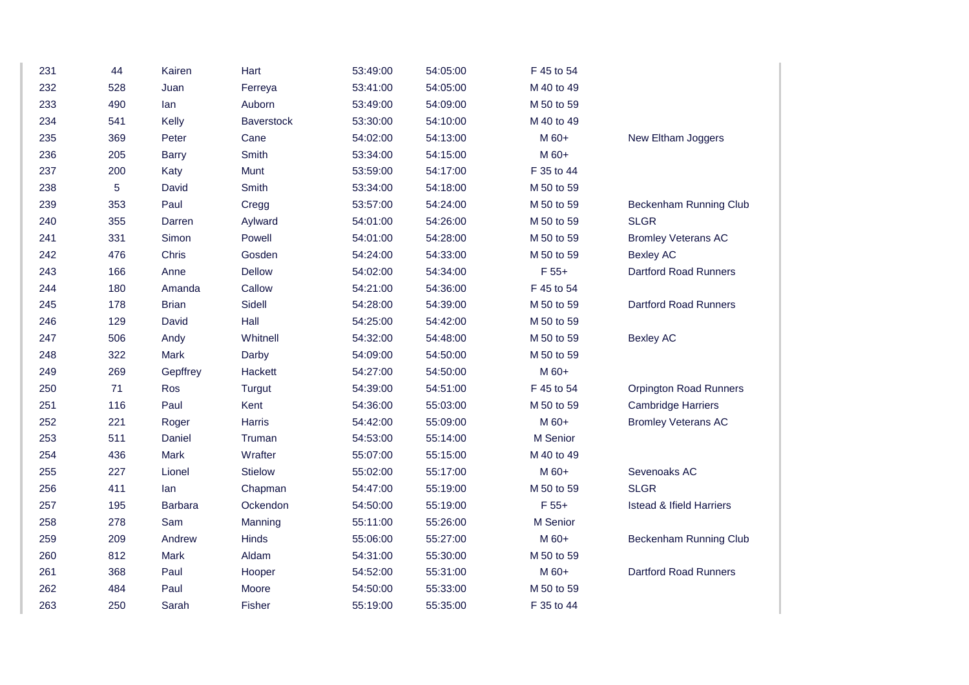| 231 | 44  | Kairen         | Hart           | 53:49:00 | 54:05:00 | F 45 to 54 |                                     |
|-----|-----|----------------|----------------|----------|----------|------------|-------------------------------------|
| 232 | 528 | Juan           | Ferreya        | 53:41:00 | 54:05:00 | M 40 to 49 |                                     |
| 233 | 490 | lan            | Auborn         | 53:49:00 | 54:09:00 | M 50 to 59 |                                     |
| 234 | 541 | Kelly          | Baverstock     | 53:30:00 | 54:10:00 | M 40 to 49 |                                     |
| 235 | 369 | Peter          | Cane           | 54:02:00 | 54:13:00 | M 60+      | New Eltham Joggers                  |
| 236 | 205 | <b>Barry</b>   | Smith          | 53:34:00 | 54:15:00 | M 60+      |                                     |
| 237 | 200 | Katy           | Munt           | 53:59:00 | 54:17:00 | F 35 to 44 |                                     |
| 238 | 5   | David          | Smith          | 53:34:00 | 54:18:00 | M 50 to 59 |                                     |
| 239 | 353 | Paul           | Cregg          | 53:57:00 | 54:24:00 | M 50 to 59 | Beckenham Running Club              |
| 240 | 355 | Darren         | Aylward        | 54:01:00 | 54:26:00 | M 50 to 59 | <b>SLGR</b>                         |
| 241 | 331 | Simon          | Powell         | 54:01:00 | 54:28:00 | M 50 to 59 | <b>Bromley Veterans AC</b>          |
| 242 | 476 | Chris          | Gosden         | 54:24:00 | 54:33:00 | M 50 to 59 | <b>Bexley AC</b>                    |
| 243 | 166 | Anne           | <b>Dellow</b>  | 54:02:00 | 54:34:00 | $F 55+$    | <b>Dartford Road Runners</b>        |
| 244 | 180 | Amanda         | Callow         | 54:21:00 | 54:36:00 | F 45 to 54 |                                     |
| 245 | 178 | <b>Brian</b>   | Sidell         | 54:28:00 | 54:39:00 | M 50 to 59 | <b>Dartford Road Runners</b>        |
| 246 | 129 | David          | Hall           | 54:25:00 | 54:42:00 | M 50 to 59 |                                     |
| 247 | 506 | Andy           | Whitnell       | 54:32:00 | 54:48:00 | M 50 to 59 | <b>Bexley AC</b>                    |
| 248 | 322 | Mark           | Darby          | 54:09:00 | 54:50:00 | M 50 to 59 |                                     |
| 249 | 269 | Gepffrey       | Hackett        | 54:27:00 | 54:50:00 | M 60+      |                                     |
| 250 | 71  | Ros            | Turgut         | 54:39:00 | 54:51:00 | F 45 to 54 | <b>Orpington Road Runners</b>       |
| 251 | 116 | Paul           | Kent           | 54:36:00 | 55:03:00 | M 50 to 59 | <b>Cambridge Harriers</b>           |
| 252 | 221 | Roger          | Harris         | 54:42:00 | 55:09:00 | M 60+      | <b>Bromley Veterans AC</b>          |
| 253 | 511 | Daniel         | Truman         | 54:53:00 | 55:14:00 | M Senior   |                                     |
| 254 | 436 | Mark           | Wrafter        | 55:07:00 | 55:15:00 | M 40 to 49 |                                     |
| 255 | 227 | Lionel         | <b>Stielow</b> | 55:02:00 | 55:17:00 | M 60+      | Sevenoaks AC                        |
| 256 | 411 | lan            | Chapman        | 54:47:00 | 55:19:00 | M 50 to 59 | <b>SLGR</b>                         |
| 257 | 195 | <b>Barbara</b> | Ockendon       | 54:50:00 | 55:19:00 | $F 55+$    | <b>Istead &amp; Ifield Harriers</b> |
| 258 | 278 | Sam            | Manning        | 55:11:00 | 55:26:00 | M Senior   |                                     |
| 259 | 209 | Andrew         | Hinds          | 55:06:00 | 55:27:00 | M 60+      | Beckenham Running Club              |
| 260 | 812 | Mark           | Aldam          | 54:31:00 | 55:30:00 | M 50 to 59 |                                     |
| 261 | 368 | Paul           | Hooper         | 54:52:00 | 55:31:00 | M 60+      | <b>Dartford Road Runners</b>        |
| 262 | 484 | Paul           | Moore          | 54:50:00 | 55:33:00 | M 50 to 59 |                                     |
| 263 | 250 | Sarah          | Fisher         | 55:19:00 | 55:35:00 | F 35 to 44 |                                     |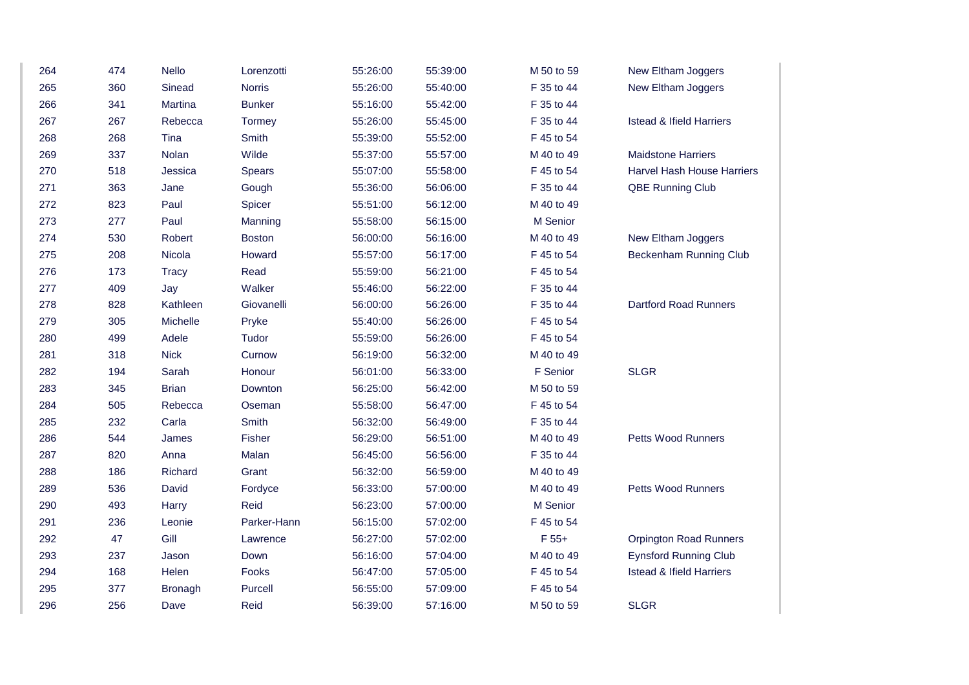| 264 | 474 | Nello          | Lorenzotti    | 55:26:00 | 55:39:00 | M 50 to 59 | New Eltham Joggers                  |
|-----|-----|----------------|---------------|----------|----------|------------|-------------------------------------|
| 265 | 360 | Sinead         | <b>Norris</b> | 55:26:00 | 55:40:00 | F 35 to 44 | New Eltham Joggers                  |
| 266 | 341 | Martina        | <b>Bunker</b> | 55:16:00 | 55:42:00 | F 35 to 44 |                                     |
| 267 | 267 | Rebecca        | Tormey        | 55:26:00 | 55:45:00 | F 35 to 44 | <b>Istead &amp; Ifield Harriers</b> |
| 268 | 268 | Tina           | Smith         | 55:39:00 | 55:52:00 | F 45 to 54 |                                     |
| 269 | 337 | Nolan          | Wilde         | 55:37:00 | 55:57:00 | M 40 to 49 | <b>Maidstone Harriers</b>           |
| 270 | 518 | Jessica        | <b>Spears</b> | 55:07:00 | 55:58:00 | F 45 to 54 | <b>Harvel Hash House Harriers</b>   |
| 271 | 363 | Jane           | Gough         | 55:36:00 | 56:06:00 | F 35 to 44 | QBE Running Club                    |
| 272 | 823 | Paul           | Spicer        | 55:51:00 | 56:12:00 | M 40 to 49 |                                     |
| 273 | 277 | Paul           | Manning       | 55:58:00 | 56:15:00 | M Senior   |                                     |
| 274 | 530 | Robert         | <b>Boston</b> | 56:00:00 | 56:16:00 | M 40 to 49 | New Eltham Joggers                  |
| 275 | 208 | Nicola         | Howard        | 55:57:00 | 56:17:00 | F 45 to 54 | Beckenham Running Club              |
| 276 | 173 | <b>Tracy</b>   | Read          | 55:59:00 | 56:21:00 | F 45 to 54 |                                     |
| 277 | 409 | Jay            | Walker        | 55:46:00 | 56:22:00 | F 35 to 44 |                                     |
| 278 | 828 | Kathleen       | Giovanelli    | 56:00:00 | 56:26:00 | F 35 to 44 | <b>Dartford Road Runners</b>        |
| 279 | 305 | Michelle       | Pryke         | 55:40:00 | 56:26:00 | F 45 to 54 |                                     |
| 280 | 499 | Adele          | Tudor         | 55:59:00 | 56:26:00 | F 45 to 54 |                                     |
| 281 | 318 | <b>Nick</b>    | Curnow        | 56:19:00 | 56:32:00 | M 40 to 49 |                                     |
| 282 | 194 | Sarah          | Honour        | 56:01:00 | 56:33:00 | F Senior   | <b>SLGR</b>                         |
| 283 | 345 | <b>Brian</b>   | Downton       | 56:25:00 | 56:42:00 | M 50 to 59 |                                     |
| 284 | 505 | Rebecca        | Oseman        | 55:58:00 | 56:47:00 | F 45 to 54 |                                     |
| 285 | 232 | Carla          | Smith         | 56:32:00 | 56:49:00 | F 35 to 44 |                                     |
| 286 | 544 | James          | Fisher        | 56:29:00 | 56:51:00 | M 40 to 49 | Petts Wood Runners                  |
| 287 | 820 | Anna           | Malan         | 56:45:00 | 56:56:00 | F 35 to 44 |                                     |
| 288 | 186 | Richard        | Grant         | 56:32:00 | 56:59:00 | M 40 to 49 |                                     |
| 289 | 536 | David          | Fordyce       | 56:33:00 | 57:00:00 | M 40 to 49 | Petts Wood Runners                  |
| 290 | 493 | Harry          | Reid          | 56:23:00 | 57:00:00 | M Senior   |                                     |
| 291 | 236 | Leonie         | Parker-Hann   | 56:15:00 | 57:02:00 | F 45 to 54 |                                     |
| 292 | 47  | Gill           | Lawrence      | 56:27:00 | 57:02:00 | $F 55+$    | <b>Orpington Road Runners</b>       |
| 293 | 237 | Jason          | Down          | 56:16:00 | 57:04:00 | M 40 to 49 | <b>Eynsford Running Club</b>        |
| 294 | 168 | Helen          | Fooks         | 56:47:00 | 57:05:00 | F 45 to 54 | <b>Istead &amp; Ifield Harriers</b> |
| 295 | 377 | <b>Bronagh</b> | Purcell       | 56:55:00 | 57:09:00 | F 45 to 54 |                                     |
| 296 | 256 | Dave           | Reid          | 56:39:00 | 57:16:00 | M 50 to 59 | <b>SLGR</b>                         |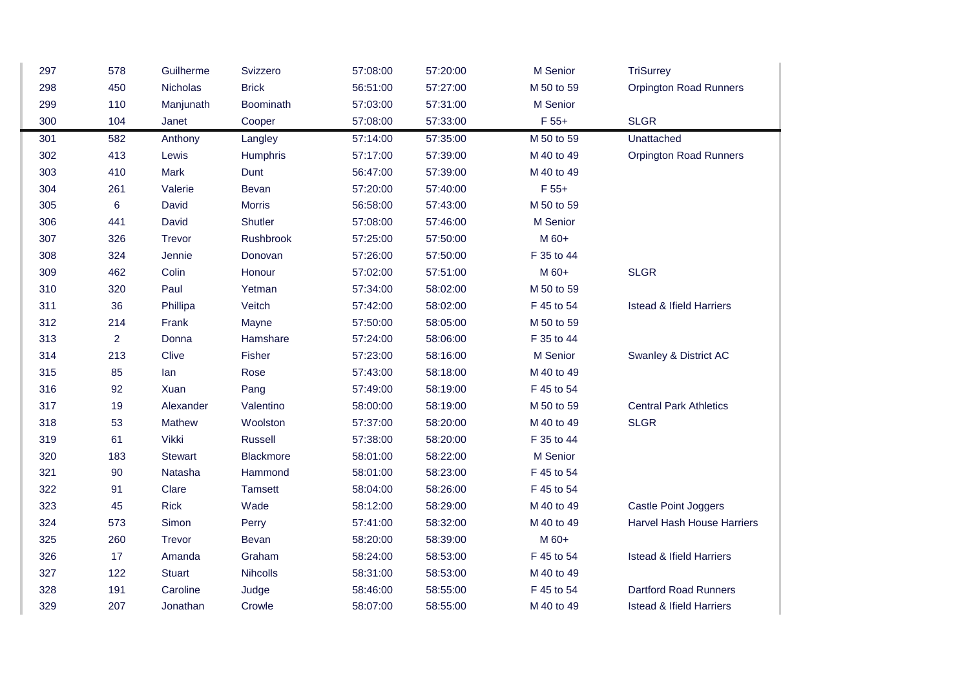| 297 | 578            | Guilherme       | Svizzero         | 57:08:00 | 57:20:00 | M Senior   | <b>TriSurrey</b>                    |
|-----|----------------|-----------------|------------------|----------|----------|------------|-------------------------------------|
| 298 | 450            | <b>Nicholas</b> | <b>Brick</b>     | 56:51:00 | 57:27:00 | M 50 to 59 | <b>Orpington Road Runners</b>       |
| 299 | 110            | Manjunath       | Boominath        | 57:03:00 | 57:31:00 | M Senior   |                                     |
| 300 | 104            | Janet           | Cooper           | 57:08:00 | 57:33:00 | $F 55+$    | <b>SLGR</b>                         |
| 301 | 582            | Anthony         | Langley          | 57:14:00 | 57:35:00 | M 50 to 59 | Unattached                          |
| 302 | 413            | Lewis           | <b>Humphris</b>  | 57:17:00 | 57:39:00 | M 40 to 49 | <b>Orpington Road Runners</b>       |
| 303 | 410            | Mark            | Dunt             | 56:47:00 | 57:39:00 | M 40 to 49 |                                     |
| 304 | 261            | Valerie         | Bevan            | 57:20:00 | 57:40:00 | $F 55+$    |                                     |
| 305 | $\,6$          | David           | <b>Morris</b>    | 56:58:00 | 57:43:00 | M 50 to 59 |                                     |
| 306 | 441            | David           | Shutler          | 57:08:00 | 57:46:00 | M Senior   |                                     |
| 307 | 326            | Trevor          | Rushbrook        | 57:25:00 | 57:50:00 | M 60+      |                                     |
| 308 | 324            | Jennie          | Donovan          | 57:26:00 | 57:50:00 | F 35 to 44 |                                     |
| 309 | 462            | Colin           | Honour           | 57:02:00 | 57:51:00 | M 60+      | <b>SLGR</b>                         |
| 310 | 320            | Paul            | Yetman           | 57:34:00 | 58:02:00 | M 50 to 59 |                                     |
| 311 | 36             | Phillipa        | Veitch           | 57:42:00 | 58:02:00 | F 45 to 54 | <b>Istead &amp; Ifield Harriers</b> |
| 312 | 214            | Frank           | Mayne            | 57:50:00 | 58:05:00 | M 50 to 59 |                                     |
| 313 | $\overline{2}$ | Donna           | Hamshare         | 57:24:00 | 58:06:00 | F 35 to 44 |                                     |
| 314 | 213            | Clive           | Fisher           | 57:23:00 | 58:16:00 | M Senior   | Swanley & District AC               |
| 315 | 85             | lan             | Rose             | 57:43:00 | 58:18:00 | M 40 to 49 |                                     |
| 316 | 92             | Xuan            | Pang             | 57:49:00 | 58:19:00 | F 45 to 54 |                                     |
| 317 | 19             | Alexander       | Valentino        | 58:00:00 | 58:19:00 | M 50 to 59 | <b>Central Park Athletics</b>       |
| 318 | 53             | Mathew          | Woolston         | 57:37:00 | 58:20:00 | M 40 to 49 | <b>SLGR</b>                         |
| 319 | 61             | <b>Vikki</b>    | Russell          | 57:38:00 | 58:20:00 | F 35 to 44 |                                     |
| 320 | 183            | <b>Stewart</b>  | <b>Blackmore</b> | 58:01:00 | 58:22:00 | M Senior   |                                     |
| 321 | 90             | Natasha         | Hammond          | 58:01:00 | 58:23:00 | F 45 to 54 |                                     |
| 322 | 91             | Clare           | <b>Tamsett</b>   | 58:04:00 | 58:26:00 | F 45 to 54 |                                     |
| 323 | 45             | <b>Rick</b>     | Wade             | 58:12:00 | 58:29:00 | M 40 to 49 | <b>Castle Point Joggers</b>         |
| 324 | 573            | Simon           | Perry            | 57:41:00 | 58:32:00 | M 40 to 49 | <b>Harvel Hash House Harriers</b>   |
| 325 | 260            | Trevor          | Bevan            | 58:20:00 | 58:39:00 | M 60+      |                                     |
| 326 | 17             | Amanda          | Graham           | 58:24:00 | 58:53:00 | F 45 to 54 | <b>Istead &amp; Ifield Harriers</b> |
| 327 | 122            | <b>Stuart</b>   | Nihcolls         | 58:31:00 | 58:53:00 | M 40 to 49 |                                     |
| 328 | 191            | Caroline        | Judge            | 58:46:00 | 58:55:00 | F 45 to 54 | <b>Dartford Road Runners</b>        |
| 329 | 207            | Jonathan        | Crowle           | 58:07:00 | 58:55:00 | M 40 to 49 | <b>Istead &amp; Ifield Harriers</b> |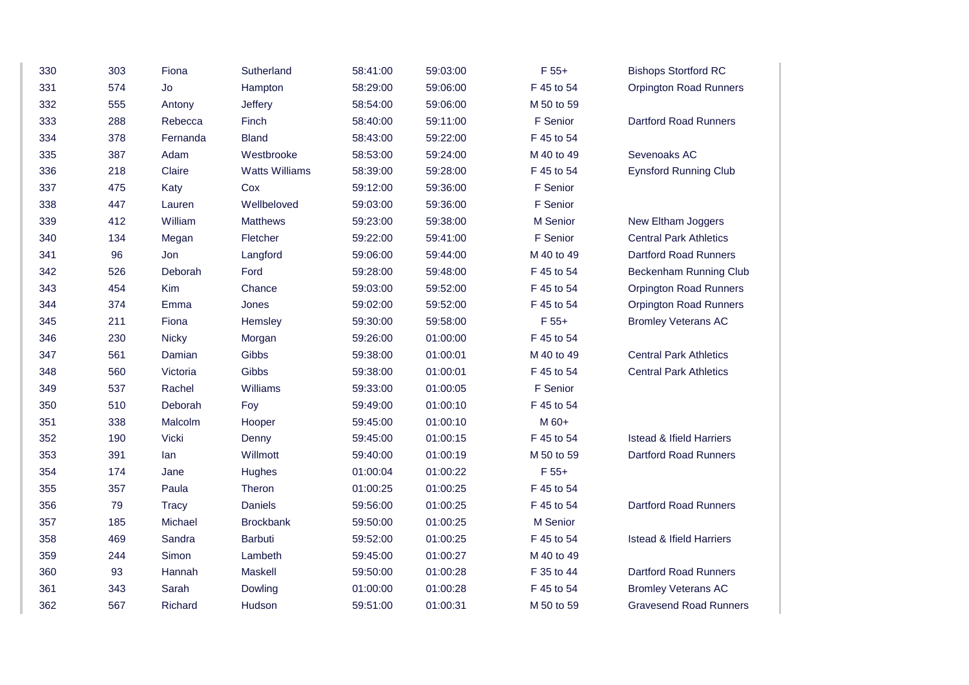| 330 | 303 | Fiona        | Sutherland            | 58:41:00 | 59:03:00 | $F 55+$    | <b>Bishops Stortford RC</b>         |
|-----|-----|--------------|-----------------------|----------|----------|------------|-------------------------------------|
| 331 | 574 | Jo           | Hampton               | 58:29:00 | 59:06:00 | F 45 to 54 | <b>Orpington Road Runners</b>       |
| 332 | 555 | Antony       | Jeffery               | 58:54:00 | 59:06:00 | M 50 to 59 |                                     |
| 333 | 288 | Rebecca      | Finch                 | 58:40:00 | 59:11:00 | F Senior   | <b>Dartford Road Runners</b>        |
| 334 | 378 | Fernanda     | <b>Bland</b>          | 58:43:00 | 59:22:00 | F 45 to 54 |                                     |
| 335 | 387 | Adam         | Westbrooke            | 58:53:00 | 59:24:00 | M 40 to 49 | Sevenoaks AC                        |
| 336 | 218 | Claire       | <b>Watts Williams</b> | 58:39:00 | 59:28:00 | F 45 to 54 | <b>Eynsford Running Club</b>        |
| 337 | 475 | Katy         | Cox                   | 59:12:00 | 59:36:00 | F Senior   |                                     |
| 338 | 447 | Lauren       | Wellbeloved           | 59:03:00 | 59:36:00 | F Senior   |                                     |
| 339 | 412 | William      | <b>Matthews</b>       | 59:23:00 | 59:38:00 | M Senior   | New Eltham Joggers                  |
| 340 | 134 | Megan        | Fletcher              | 59:22:00 | 59:41:00 | F Senior   | <b>Central Park Athletics</b>       |
| 341 | 96  | Jon          | Langford              | 59:06:00 | 59:44:00 | M 40 to 49 | <b>Dartford Road Runners</b>        |
| 342 | 526 | Deborah      | Ford                  | 59:28:00 | 59:48:00 | F 45 to 54 | Beckenham Running Club              |
| 343 | 454 | <b>Kim</b>   | Chance                | 59:03:00 | 59:52:00 | F 45 to 54 | <b>Orpington Road Runners</b>       |
| 344 | 374 | Emma         | Jones                 | 59:02:00 | 59:52:00 | F 45 to 54 | <b>Orpington Road Runners</b>       |
| 345 | 211 | Fiona        | Hemsley               | 59:30:00 | 59:58:00 | $F 55+$    | <b>Bromley Veterans AC</b>          |
| 346 | 230 | <b>Nicky</b> | Morgan                | 59:26:00 | 01:00:00 | F 45 to 54 |                                     |
| 347 | 561 | Damian       | Gibbs                 | 59:38:00 | 01:00:01 | M 40 to 49 | <b>Central Park Athletics</b>       |
| 348 | 560 | Victoria     | Gibbs                 | 59:38:00 | 01:00:01 | F 45 to 54 | <b>Central Park Athletics</b>       |
| 349 | 537 | Rachel       | Williams              | 59:33:00 | 01:00:05 | F Senior   |                                     |
| 350 | 510 | Deborah      | Foy                   | 59:49:00 | 01:00:10 | F 45 to 54 |                                     |
| 351 | 338 | Malcolm      | Hooper                | 59:45:00 | 01:00:10 | M 60+      |                                     |
| 352 | 190 | Vicki        | Denny                 | 59:45:00 | 01:00:15 | F 45 to 54 | <b>Istead &amp; Ifield Harriers</b> |
| 353 | 391 | lan          | Willmott              | 59:40:00 | 01:00:19 | M 50 to 59 | <b>Dartford Road Runners</b>        |
| 354 | 174 | Jane         | Hughes                | 01:00:04 | 01:00:22 | $F 55+$    |                                     |
| 355 | 357 | Paula        | Theron                | 01:00:25 | 01:00:25 | F 45 to 54 |                                     |
| 356 | 79  | <b>Tracy</b> | <b>Daniels</b>        | 59:56:00 | 01:00:25 | F 45 to 54 | <b>Dartford Road Runners</b>        |
| 357 | 185 | Michael      | <b>Brockbank</b>      | 59:50:00 | 01:00:25 | M Senior   |                                     |
| 358 | 469 | Sandra       | <b>Barbuti</b>        | 59:52:00 | 01:00:25 | F 45 to 54 | <b>Istead &amp; Ifield Harriers</b> |
| 359 | 244 | Simon        | Lambeth               | 59:45:00 | 01:00:27 | M 40 to 49 |                                     |
| 360 | 93  | Hannah       | Maskell               | 59:50:00 | 01:00:28 | F 35 to 44 | <b>Dartford Road Runners</b>        |
| 361 | 343 | Sarah        | Dowling               | 01:00:00 | 01:00:28 | F 45 to 54 | <b>Bromley Veterans AC</b>          |
| 362 | 567 | Richard      | Hudson                | 59:51:00 | 01:00:31 | M 50 to 59 | <b>Gravesend Road Runners</b>       |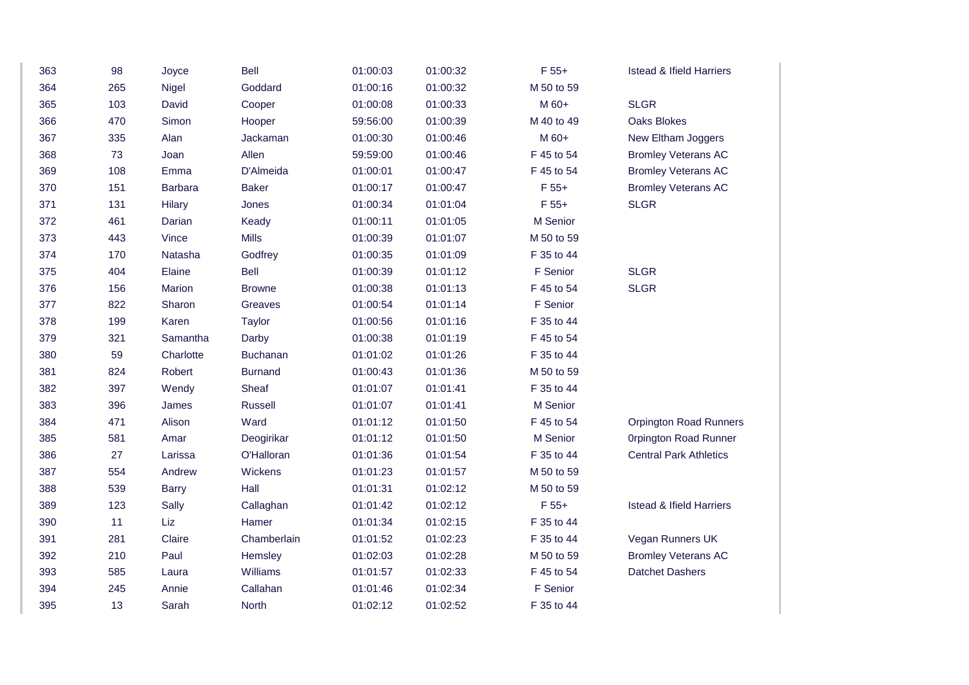| 363 | 98  | Joyce          | Bell            | 01:00:03 | 01:00:32 | $F 55+$    | <b>Istead &amp; Ifield Harriers</b> |
|-----|-----|----------------|-----------------|----------|----------|------------|-------------------------------------|
| 364 | 265 | Nigel          | Goddard         | 01:00:16 | 01:00:32 | M 50 to 59 |                                     |
| 365 | 103 | David          | Cooper          | 01:00:08 | 01:00:33 | M 60+      | <b>SLGR</b>                         |
| 366 | 470 | Simon          | Hooper          | 59:56:00 | 01:00:39 | M 40 to 49 | Oaks Blokes                         |
| 367 | 335 | Alan           | Jackaman        | 01:00:30 | 01:00:46 | M 60+      | New Eltham Joggers                  |
| 368 | 73  | Joan           | Allen           | 59:59:00 | 01:00:46 | F 45 to 54 | <b>Bromley Veterans AC</b>          |
| 369 | 108 | Emma           | D'Almeida       | 01:00:01 | 01:00:47 | F 45 to 54 | <b>Bromley Veterans AC</b>          |
| 370 | 151 | <b>Barbara</b> | <b>Baker</b>    | 01:00:17 | 01:00:47 | $F 55+$    | <b>Bromley Veterans AC</b>          |
| 371 | 131 | Hilary         | Jones           | 01:00:34 | 01:01:04 | $F 55+$    | <b>SLGR</b>                         |
| 372 | 461 | Darian         | Keady           | 01:00:11 | 01:01:05 | M Senior   |                                     |
| 373 | 443 | Vince          | <b>Mills</b>    | 01:00:39 | 01:01:07 | M 50 to 59 |                                     |
| 374 | 170 | Natasha        | Godfrey         | 01:00:35 | 01:01:09 | F 35 to 44 |                                     |
| 375 | 404 | Elaine         | Bell            | 01:00:39 | 01:01:12 | F Senior   | <b>SLGR</b>                         |
| 376 | 156 | Marion         | <b>Browne</b>   | 01:00:38 | 01:01:13 | F 45 to 54 | <b>SLGR</b>                         |
| 377 | 822 | Sharon         | Greaves         | 01:00:54 | 01:01:14 | F Senior   |                                     |
| 378 | 199 | Karen          | <b>Taylor</b>   | 01:00:56 | 01:01:16 | F 35 to 44 |                                     |
| 379 | 321 | Samantha       | Darby           | 01:00:38 | 01:01:19 | F 45 to 54 |                                     |
| 380 | 59  | Charlotte      | <b>Buchanan</b> | 01:01:02 | 01:01:26 | F 35 to 44 |                                     |
| 381 | 824 | Robert         | <b>Burnand</b>  | 01:00:43 | 01:01:36 | M 50 to 59 |                                     |
| 382 | 397 | Wendy          | Sheaf           | 01:01:07 | 01:01:41 | F 35 to 44 |                                     |
| 383 | 396 | James          | <b>Russell</b>  | 01:01:07 | 01:01:41 | M Senior   |                                     |
| 384 | 471 | Alison         | Ward            | 01:01:12 | 01:01:50 | F 45 to 54 | <b>Orpington Road Runners</b>       |
| 385 | 581 | Amar           | Deogirikar      | 01:01:12 | 01:01:50 | M Senior   | <b>Orpington Road Runner</b>        |
| 386 | 27  | Larissa        | O'Halloran      | 01:01:36 | 01:01:54 | F 35 to 44 | <b>Central Park Athletics</b>       |
| 387 | 554 | Andrew         | Wickens         | 01:01:23 | 01:01:57 | M 50 to 59 |                                     |
| 388 | 539 | <b>Barry</b>   | Hall            | 01:01:31 | 01:02:12 | M 50 to 59 |                                     |
| 389 | 123 | Sally          | Callaghan       | 01:01:42 | 01:02:12 | $F 55+$    | <b>Istead &amp; Ifield Harriers</b> |
| 390 | 11  | Liz            | Hamer           | 01:01:34 | 01:02:15 | F 35 to 44 |                                     |
| 391 | 281 | Claire         | Chamberlain     | 01:01:52 | 01:02:23 | F 35 to 44 | Vegan Runners UK                    |
| 392 | 210 | Paul           | Hemsley         | 01:02:03 | 01:02:28 | M 50 to 59 | <b>Bromley Veterans AC</b>          |
| 393 | 585 | Laura          | Williams        | 01:01:57 | 01:02:33 | F 45 to 54 | <b>Datchet Dashers</b>              |
| 394 | 245 | Annie          | Callahan        | 01:01:46 | 01:02:34 | F Senior   |                                     |
| 395 | 13  | Sarah          | North           | 01:02:12 | 01:02:52 | F 35 to 44 |                                     |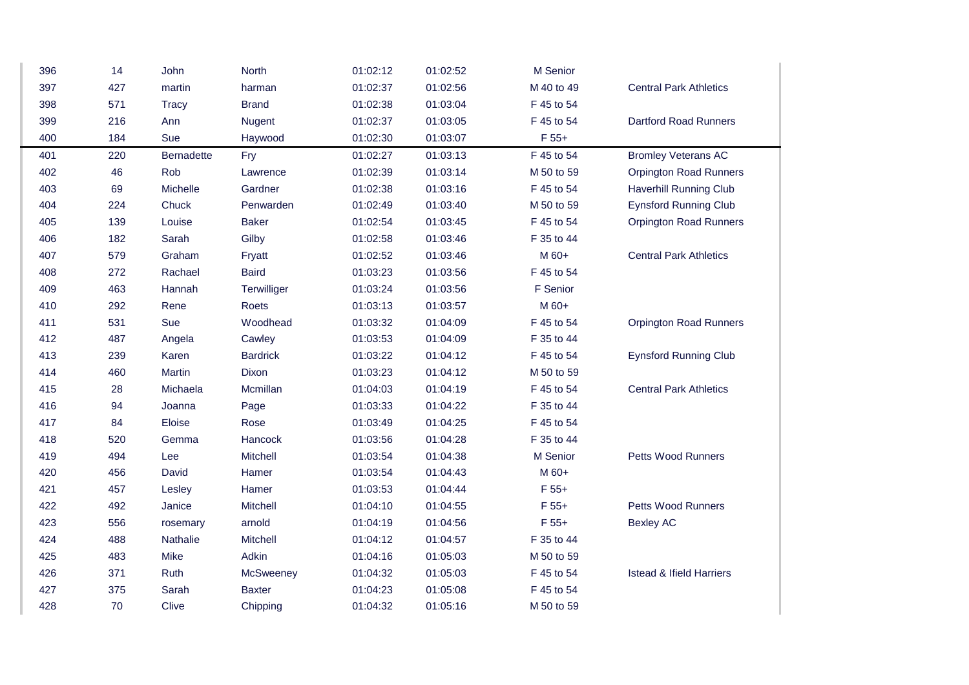| 396 | 14  | John              | <b>North</b>    | 01:02:12 | 01:02:52 | M Senior   |                                     |
|-----|-----|-------------------|-----------------|----------|----------|------------|-------------------------------------|
| 397 | 427 | martin            | harman          | 01:02:37 | 01:02:56 | M 40 to 49 | <b>Central Park Athletics</b>       |
| 398 | 571 | <b>Tracy</b>      | <b>Brand</b>    | 01:02:38 | 01:03:04 | F 45 to 54 |                                     |
| 399 | 216 | Ann               | Nugent          | 01:02:37 | 01:03:05 | F 45 to 54 | <b>Dartford Road Runners</b>        |
| 400 | 184 | Sue               | Haywood         | 01:02:30 | 01:03:07 | $F 55+$    |                                     |
| 401 | 220 | <b>Bernadette</b> | Fry             | 01:02:27 | 01:03:13 | F 45 to 54 | <b>Bromley Veterans AC</b>          |
| 402 | 46  | Rob               | Lawrence        | 01:02:39 | 01:03:14 | M 50 to 59 | <b>Orpington Road Runners</b>       |
| 403 | 69  | Michelle          | Gardner         | 01:02:38 | 01:03:16 | F 45 to 54 | <b>Haverhill Running Club</b>       |
| 404 | 224 | Chuck             | Penwarden       | 01:02:49 | 01:03:40 | M 50 to 59 | <b>Eynsford Running Club</b>        |
| 405 | 139 | Louise            | <b>Baker</b>    | 01:02:54 | 01:03:45 | F 45 to 54 | <b>Orpington Road Runners</b>       |
| 406 | 182 | Sarah             | Gilby           | 01:02:58 | 01:03:46 | F 35 to 44 |                                     |
| 407 | 579 | Graham            | Fryatt          | 01:02:52 | 01:03:46 | M 60+      | <b>Central Park Athletics</b>       |
| 408 | 272 | Rachael           | <b>Baird</b>    | 01:03:23 | 01:03:56 | F 45 to 54 |                                     |
| 409 | 463 | Hannah            | Terwilliger     | 01:03:24 | 01:03:56 | F Senior   |                                     |
| 410 | 292 | Rene              | Roets           | 01:03:13 | 01:03:57 | M 60+      |                                     |
| 411 | 531 | Sue               | Woodhead        | 01:03:32 | 01:04:09 | F 45 to 54 | <b>Orpington Road Runners</b>       |
| 412 | 487 | Angela            | Cawley          | 01:03:53 | 01:04:09 | F 35 to 44 |                                     |
| 413 | 239 | Karen             | <b>Bardrick</b> | 01:03:22 | 01:04:12 | F 45 to 54 | <b>Eynsford Running Club</b>        |
| 414 | 460 | Martin            | Dixon           | 01:03:23 | 01:04:12 | M 50 to 59 |                                     |
| 415 | 28  | Michaela          | Mcmillan        | 01:04:03 | 01:04:19 | F 45 to 54 | <b>Central Park Athletics</b>       |
| 416 | 94  | Joanna            | Page            | 01:03:33 | 01:04:22 | F 35 to 44 |                                     |
| 417 | 84  | Eloise            | Rose            | 01:03:49 | 01:04:25 | F 45 to 54 |                                     |
| 418 | 520 | Gemma             | Hancock         | 01:03:56 | 01:04:28 | F 35 to 44 |                                     |
| 419 | 494 | Lee               | Mitchell        | 01:03:54 | 01:04:38 | M Senior   | <b>Petts Wood Runners</b>           |
| 420 | 456 | David             | Hamer           | 01:03:54 | 01:04:43 | M 60+      |                                     |
| 421 | 457 | Lesley            | Hamer           | 01:03:53 | 01:04:44 | $F 55+$    |                                     |
| 422 | 492 | Janice            | Mitchell        | 01:04:10 | 01:04:55 | $F 55+$    | Petts Wood Runners                  |
| 423 | 556 | rosemary          | arnold          | 01:04:19 | 01:04:56 | $F 55+$    | <b>Bexley AC</b>                    |
| 424 | 488 | Nathalie          | <b>Mitchell</b> | 01:04:12 | 01:04:57 | F 35 to 44 |                                     |
| 425 | 483 | <b>Mike</b>       | Adkin           | 01:04:16 | 01:05:03 | M 50 to 59 |                                     |
| 426 | 371 | Ruth              | McSweeney       | 01:04:32 | 01:05:03 | F 45 to 54 | <b>Istead &amp; Ifield Harriers</b> |
| 427 | 375 | Sarah             | <b>Baxter</b>   | 01:04:23 | 01:05:08 | F 45 to 54 |                                     |
| 428 | 70  | Clive             | Chipping        | 01:04:32 | 01:05:16 | M 50 to 59 |                                     |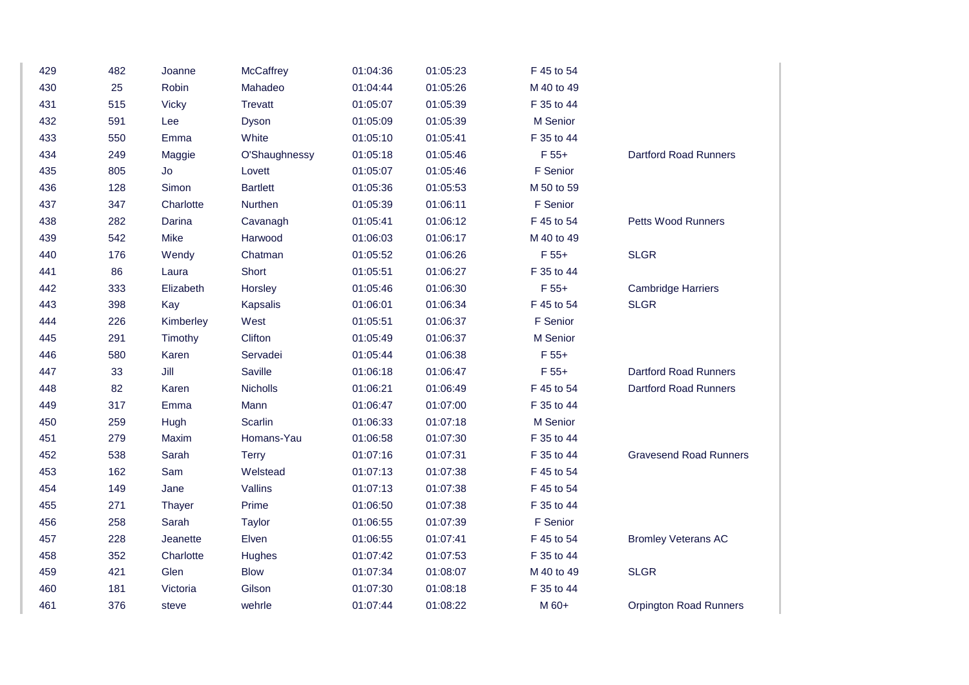| 429 | 482 | Joanne       | <b>McCaffrey</b> | 01:04:36 | 01:05:23 | F 45 to 54 |                               |
|-----|-----|--------------|------------------|----------|----------|------------|-------------------------------|
| 430 | 25  | Robin        | Mahadeo          | 01:04:44 | 01:05:26 | M 40 to 49 |                               |
| 431 | 515 | <b>Vicky</b> | Trevatt          | 01:05:07 | 01:05:39 | F 35 to 44 |                               |
| 432 | 591 | Lee          | Dyson            | 01:05:09 | 01:05:39 | M Senior   |                               |
| 433 | 550 | Emma         | White            | 01:05:10 | 01:05:41 | F 35 to 44 |                               |
| 434 | 249 | Maggie       | O'Shaughnessy    | 01:05:18 | 01:05:46 | $F 55+$    | <b>Dartford Road Runners</b>  |
| 435 | 805 | Jo           | Lovett           | 01:05:07 | 01:05:46 | F Senior   |                               |
| 436 | 128 | Simon        | <b>Bartlett</b>  | 01:05:36 | 01:05:53 | M 50 to 59 |                               |
| 437 | 347 | Charlotte    | Nurthen          | 01:05:39 | 01:06:11 | F Senior   |                               |
| 438 | 282 | Darina       | Cavanagh         | 01:05:41 | 01:06:12 | F 45 to 54 | <b>Petts Wood Runners</b>     |
| 439 | 542 | Mike         | Harwood          | 01:06:03 | 01:06:17 | M 40 to 49 |                               |
| 440 | 176 | Wendy        | Chatman          | 01:05:52 | 01:06:26 | $F 55+$    | <b>SLGR</b>                   |
| 441 | 86  | Laura        | Short            | 01:05:51 | 01:06:27 | F 35 to 44 |                               |
| 442 | 333 | Elizabeth    | Horsley          | 01:05:46 | 01:06:30 | $F 55+$    | <b>Cambridge Harriers</b>     |
| 443 | 398 | Kay          | Kapsalis         | 01:06:01 | 01:06:34 | F 45 to 54 | <b>SLGR</b>                   |
| 444 | 226 | Kimberley    | West             | 01:05:51 | 01:06:37 | F Senior   |                               |
| 445 | 291 | Timothy      | Clifton          | 01:05:49 | 01:06:37 | M Senior   |                               |
| 446 | 580 | Karen        | Servadei         | 01:05:44 | 01:06:38 | $F 55+$    |                               |
| 447 | 33  | Jill         | Saville          | 01:06:18 | 01:06:47 | $F 55+$    | <b>Dartford Road Runners</b>  |
| 448 | 82  | Karen        | Nicholls         | 01:06:21 | 01:06:49 | F 45 to 54 | <b>Dartford Road Runners</b>  |
| 449 | 317 | Emma         | Mann             | 01:06:47 | 01:07:00 | F 35 to 44 |                               |
| 450 | 259 | Hugh         | Scarlin          | 01:06:33 | 01:07:18 | M Senior   |                               |
| 451 | 279 | Maxim        | Homans-Yau       | 01:06:58 | 01:07:30 | F 35 to 44 |                               |
| 452 | 538 | Sarah        | <b>Terry</b>     | 01:07:16 | 01:07:31 | F 35 to 44 | <b>Gravesend Road Runners</b> |
| 453 | 162 | Sam          | Welstead         | 01:07:13 | 01:07:38 | F 45 to 54 |                               |
| 454 | 149 | Jane         | Vallins          | 01:07:13 | 01:07:38 | F 45 to 54 |                               |
| 455 | 271 | Thayer       | Prime            | 01:06:50 | 01:07:38 | F 35 to 44 |                               |
| 456 | 258 | Sarah        | <b>Taylor</b>    | 01:06:55 | 01:07:39 | F Senior   |                               |
| 457 | 228 | Jeanette     | Elven            | 01:06:55 | 01:07:41 | F 45 to 54 | <b>Bromley Veterans AC</b>    |
| 458 | 352 | Charlotte    | Hughes           | 01:07:42 | 01:07:53 | F 35 to 44 |                               |
| 459 | 421 | Glen         | <b>Blow</b>      | 01:07:34 | 01:08:07 | M 40 to 49 | <b>SLGR</b>                   |
| 460 | 181 | Victoria     | Gilson           | 01:07:30 | 01:08:18 | F 35 to 44 |                               |
| 461 | 376 | steve        | wehrle           | 01:07:44 | 01:08:22 | M 60+      | <b>Orpington Road Runners</b> |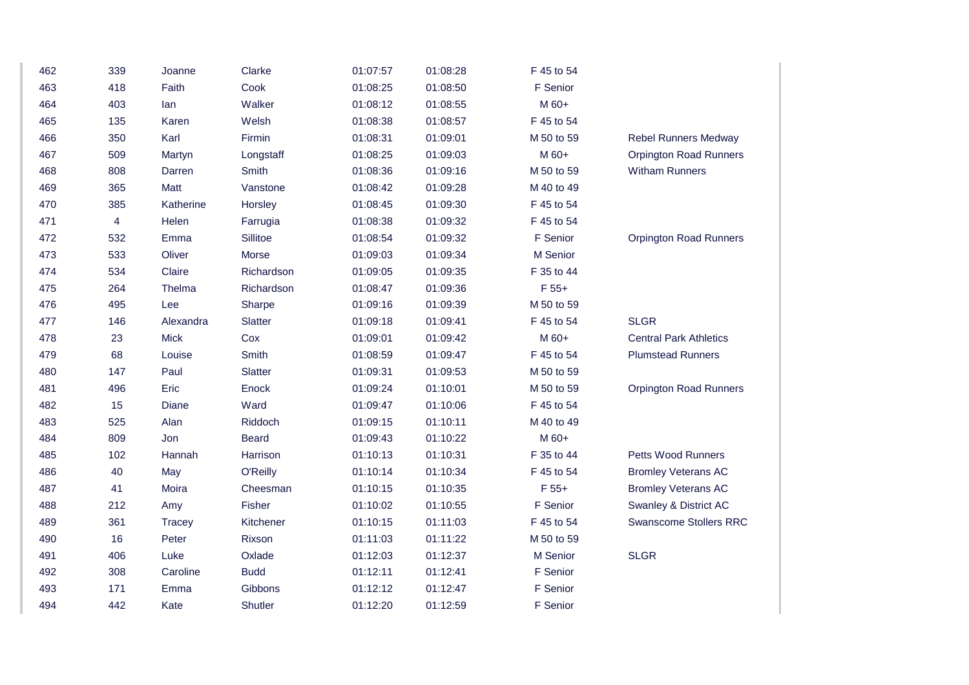| 462 | 339                     | Joanne        | Clarke       | 01:07:57 | 01:08:28 | F 45 to 54      |                               |
|-----|-------------------------|---------------|--------------|----------|----------|-----------------|-------------------------------|
| 463 | 418                     | Faith         | Cook         | 01:08:25 | 01:08:50 | F Senior        |                               |
| 464 | 403                     | lan           | Walker       | 01:08:12 | 01:08:55 | M 60+           |                               |
| 465 | 135                     | Karen         | Welsh        | 01:08:38 | 01:08:57 | F 45 to 54      |                               |
| 466 | 350                     | Karl          | Firmin       | 01:08:31 | 01:09:01 | M 50 to 59      | <b>Rebel Runners Medway</b>   |
| 467 | 509                     | Martyn        | Longstaff    | 01:08:25 | 01:09:03 | M 60+           | <b>Orpington Road Runners</b> |
| 468 | 808                     | Darren        | Smith        | 01:08:36 | 01:09:16 | M 50 to 59      | <b>Witham Runners</b>         |
| 469 | 365                     | Matt          | Vanstone     | 01:08:42 | 01:09:28 | M 40 to 49      |                               |
| 470 | 385                     | Katherine     | Horsley      | 01:08:45 | 01:09:30 | F 45 to 54      |                               |
| 471 | $\overline{\mathbf{4}}$ | Helen         | Farrugia     | 01:08:38 | 01:09:32 | F 45 to 54      |                               |
| 472 | 532                     | Emma          | Sillitoe     | 01:08:54 | 01:09:32 | F Senior        | <b>Orpington Road Runners</b> |
| 473 | 533                     | Oliver        | Morse        | 01:09:03 | 01:09:34 | M Senior        |                               |
| 474 | 534                     | Claire        | Richardson   | 01:09:05 | 01:09:35 | F 35 to 44      |                               |
| 475 | 264                     | Thelma        | Richardson   | 01:08:47 | 01:09:36 | $F 55+$         |                               |
| 476 | 495                     | Lee           | Sharpe       | 01:09:16 | 01:09:39 | M 50 to 59      |                               |
| 477 | 146                     | Alexandra     | Slatter      | 01:09:18 | 01:09:41 | F 45 to 54      | <b>SLGR</b>                   |
| 478 | 23                      | <b>Mick</b>   | Cox          | 01:09:01 | 01:09:42 | M 60+           | <b>Central Park Athletics</b> |
| 479 | 68                      | Louise        | Smith        | 01:08:59 | 01:09:47 | F 45 to 54      | <b>Plumstead Runners</b>      |
| 480 | 147                     | Paul          | Slatter      | 01:09:31 | 01:09:53 | M 50 to 59      |                               |
| 481 | 496                     | Eric          | Enock        | 01:09:24 | 01:10:01 | M 50 to 59      | <b>Orpington Road Runners</b> |
| 482 | 15                      | Diane         | Ward         | 01:09:47 | 01:10:06 | F 45 to 54      |                               |
| 483 | 525                     | Alan          | Riddoch      | 01:09:15 | 01:10:11 | M 40 to 49      |                               |
| 484 | 809                     | Jon           | <b>Beard</b> | 01:09:43 | 01:10:22 | M 60+           |                               |
| 485 | 102                     | Hannah        | Harrison     | 01:10:13 | 01:10:31 | F 35 to 44      | <b>Petts Wood Runners</b>     |
| 486 | 40                      | May           | O'Reilly     | 01:10:14 | 01:10:34 | F 45 to 54      | <b>Bromley Veterans AC</b>    |
| 487 | 41                      | Moira         | Cheesman     | 01:10:15 | 01:10:35 | $F 55+$         | <b>Bromley Veterans AC</b>    |
| 488 | 212                     | Amy           | Fisher       | 01:10:02 | 01:10:55 | F Senior        | Swanley & District AC         |
| 489 | 361                     | <b>Tracey</b> | Kitchener    | 01:10:15 | 01:11:03 | F 45 to 54      | <b>Swanscome Stollers RRC</b> |
| 490 | 16                      | Peter         | Rixson       | 01:11:03 | 01:11:22 | M 50 to 59      |                               |
| 491 | 406                     | Luke          | Oxlade       | 01:12:03 | 01:12:37 | M Senior        | <b>SLGR</b>                   |
| 492 | 308                     | Caroline      | <b>Budd</b>  | 01:12:11 | 01:12:41 | F Senior        |                               |
| 493 | 171                     | Emma          | Gibbons      | 01:12:12 | 01:12:47 | F Senior        |                               |
| 494 | 442                     | Kate          | Shutler      | 01:12:20 | 01:12:59 | <b>F</b> Senior |                               |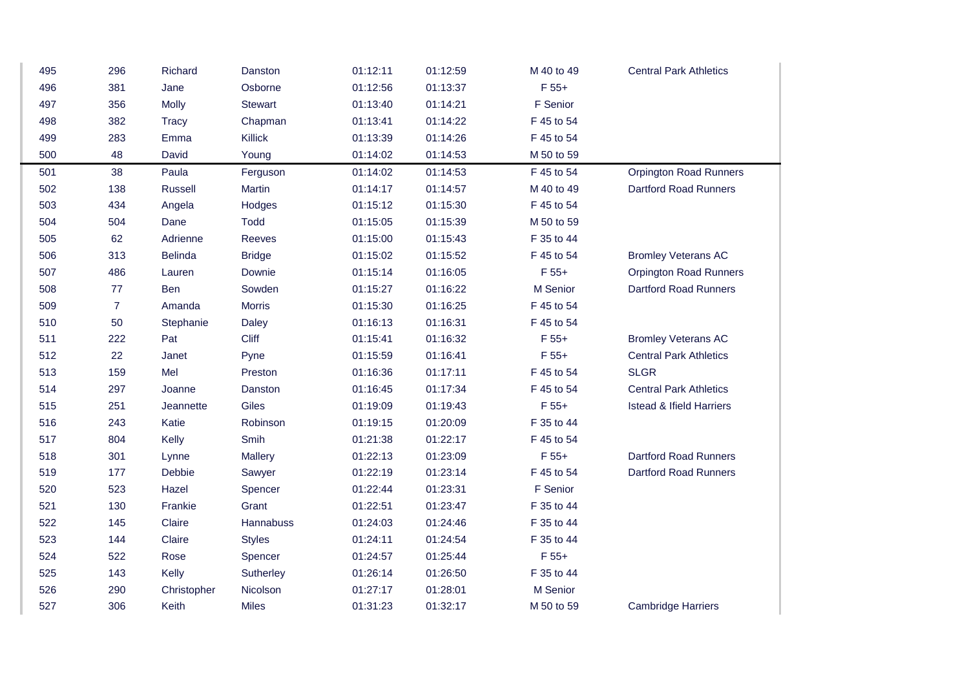| 495 | 296            | Richard          | Danston        | 01:12:11 | 01:12:59 | M 40 to 49 | <b>Central Park Athletics</b>       |
|-----|----------------|------------------|----------------|----------|----------|------------|-------------------------------------|
| 496 | 381            | Jane             | Osborne        | 01:12:56 | 01:13:37 | $F 55+$    |                                     |
| 497 | 356            | Molly            | <b>Stewart</b> | 01:13:40 | 01:14:21 | F Senior   |                                     |
| 498 | 382            | <b>Tracy</b>     | Chapman        | 01:13:41 | 01:14:22 | F 45 to 54 |                                     |
| 499 | 283            | Emma             | Killick        | 01:13:39 | 01:14:26 | F 45 to 54 |                                     |
| 500 | 48             | David            | Young          | 01:14:02 | 01:14:53 | M 50 to 59 |                                     |
| 501 | 38             | Paula            | Ferguson       | 01:14:02 | 01:14:53 | F 45 to 54 | <b>Orpington Road Runners</b>       |
| 502 | 138            | Russell          | Martin         | 01:14:17 | 01:14:57 | M 40 to 49 | <b>Dartford Road Runners</b>        |
| 503 | 434            | Angela           | Hodges         | 01:15:12 | 01:15:30 | F 45 to 54 |                                     |
| 504 | 504            | Dane             | <b>Todd</b>    | 01:15:05 | 01:15:39 | M 50 to 59 |                                     |
| 505 | 62             | Adrienne         | <b>Reeves</b>  | 01:15:00 | 01:15:43 | F 35 to 44 |                                     |
| 506 | 313            | <b>Belinda</b>   | <b>Bridge</b>  | 01:15:02 | 01:15:52 | F 45 to 54 | <b>Bromley Veterans AC</b>          |
| 507 | 486            | Lauren           | Downie         | 01:15:14 | 01:16:05 | $F 55+$    | <b>Orpington Road Runners</b>       |
| 508 | 77             | Ben              | Sowden         | 01:15:27 | 01:16:22 | M Senior   | <b>Dartford Road Runners</b>        |
| 509 | $\overline{7}$ | Amanda           | <b>Morris</b>  | 01:15:30 | 01:16:25 | F 45 to 54 |                                     |
| 510 | 50             | Stephanie        | Daley          | 01:16:13 | 01:16:31 | F 45 to 54 |                                     |
| 511 | 222            | Pat              | Cliff          | 01:15:41 | 01:16:32 | $F 55+$    | <b>Bromley Veterans AC</b>          |
| 512 | 22             | Janet            | Pyne           | 01:15:59 | 01:16:41 | $F 55+$    | <b>Central Park Athletics</b>       |
| 513 | 159            | Mel              | Preston        | 01:16:36 | 01:17:11 | F 45 to 54 | <b>SLGR</b>                         |
| 514 | 297            | Joanne           | Danston        | 01:16:45 | 01:17:34 | F 45 to 54 | <b>Central Park Athletics</b>       |
| 515 | 251            | <b>Jeannette</b> | Giles          | 01:19:09 | 01:19:43 | $F 55+$    | <b>Istead &amp; Ifield Harriers</b> |
| 516 | 243            | Katie            | Robinson       | 01:19:15 | 01:20:09 | F 35 to 44 |                                     |
| 517 | 804            | Kelly            | Smih           | 01:21:38 | 01:22:17 | F 45 to 54 |                                     |
| 518 | 301            | Lynne            | Mallery        | 01:22:13 | 01:23:09 | $F 55+$    | <b>Dartford Road Runners</b>        |
| 519 | 177            | Debbie           | Sawyer         | 01:22:19 | 01:23:14 | F 45 to 54 | <b>Dartford Road Runners</b>        |
| 520 | 523            | Hazel            | Spencer        | 01:22:44 | 01:23:31 | F Senior   |                                     |
| 521 | 130            | Frankie          | Grant          | 01:22:51 | 01:23:47 | F 35 to 44 |                                     |
| 522 | 145            | Claire           | Hannabuss      | 01:24:03 | 01:24:46 | F 35 to 44 |                                     |
| 523 | 144            | Claire           | <b>Styles</b>  | 01:24:11 | 01:24:54 | F 35 to 44 |                                     |
| 524 | 522            | Rose             | Spencer        | 01:24:57 | 01:25:44 | $F 55+$    |                                     |
| 525 | 143            | Kelly            | Sutherley      | 01:26:14 | 01:26:50 | F 35 to 44 |                                     |
| 526 | 290            | Christopher      | Nicolson       | 01:27:17 | 01:28:01 | M Senior   |                                     |
| 527 | 306            | Keith            | <b>Miles</b>   | 01:31:23 | 01:32:17 | M 50 to 59 | <b>Cambridge Harriers</b>           |